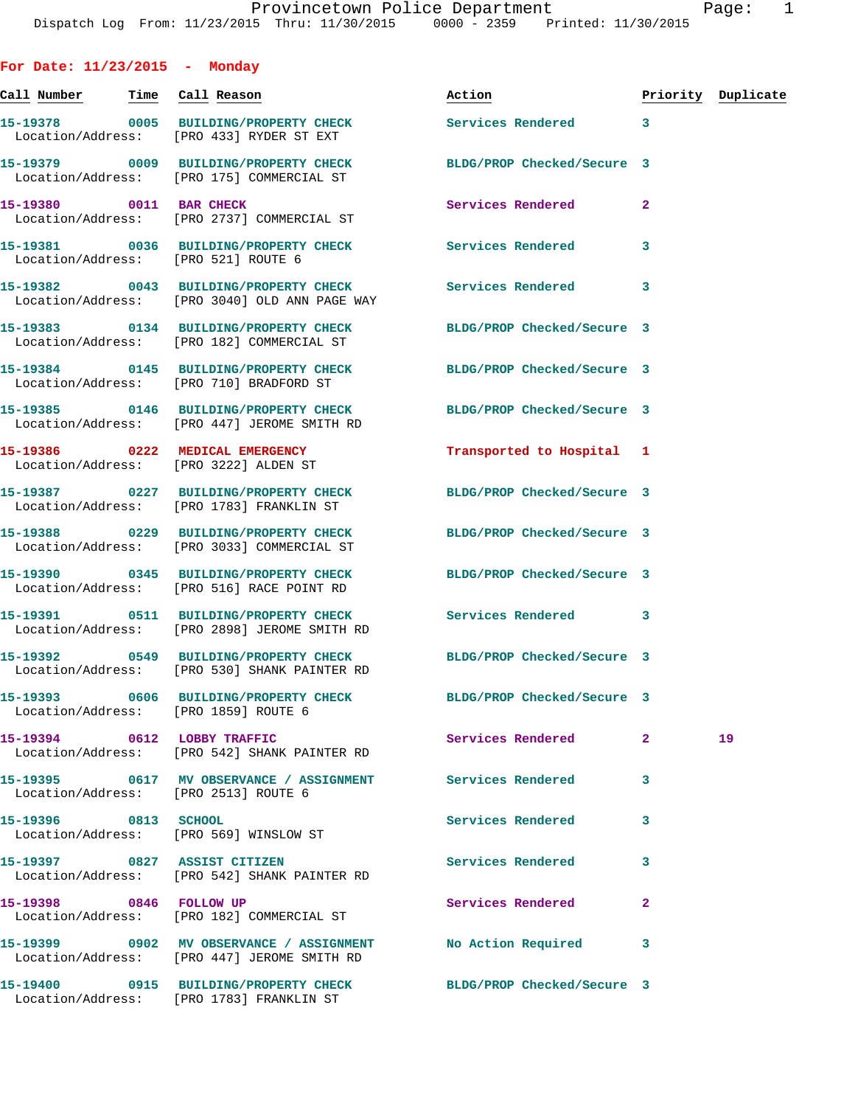**For Date: 11/23/2015 - Monday Call Number Time Call Reason Action Priority Duplicate 15-19378 0005 BUILDING/PROPERTY CHECK Services Rendered 3**  Location/Address: [PRO 433] RYDER ST EXT **15-19379 0009 BUILDING/PROPERTY CHECK BLDG/PROP Checked/Secure 3**  Location/Address: [PRO 175] COMMERCIAL ST **15-19380 0011 BAR CHECK Services Rendered 2**  Location/Address: [PRO 2737] COMMERCIAL ST **15-19381 0036 BUILDING/PROPERTY CHECK Services Rendered 3**  Location/Address: [PRO 521] ROUTE 6 **15-19382 0043 BUILDING/PROPERTY CHECK Services Rendered 3**  Location/Address: [PRO 3040] OLD ANN PAGE WAY **15-19383 0134 BUILDING/PROPERTY CHECK BLDG/PROP Checked/Secure 3**  Location/Address: [PRO 182] COMMERCIAL ST **15-19384 0145 BUILDING/PROPERTY CHECK BLDG/PROP Checked/Secure 3**  Location/Address: [PRO 710] BRADFORD ST **15-19385 0146 BUILDING/PROPERTY CHECK BLDG/PROP Checked/Secure 3**  Location/Address: [PRO 447] JEROME SMITH RD **15-19386 0222 MEDICAL EMERGENCY Transported to Hospital 1**  Location/Address: [PRO 3222] ALDEN ST **15-19387 0227 BUILDING/PROPERTY CHECK BLDG/PROP Checked/Secure 3**  Location/Address: [PRO 1783] FRANKLIN ST **15-19388 0229 BUILDING/PROPERTY CHECK BLDG/PROP Checked/Secure 3**  Location/Address: [PRO 3033] COMMERCIAL ST **15-19390 0345 BUILDING/PROPERTY CHECK BLDG/PROP Checked/Secure 3**  Location/Address: [PRO 516] RACE POINT RD **15-19391 0511 BUILDING/PROPERTY CHECK Services Rendered 3**  Location/Address: [PRO 2898] JEROME SMITH RD **15-19392 0549 BUILDING/PROPERTY CHECK BLDG/PROP Checked/Secure 3**  Location/Address: [PRO 530] SHANK PAINTER RD **15-19393 0606 BUILDING/PROPERTY CHECK BLDG/PROP Checked/Secure 3**  Location/Address: [PRO 1859] ROUTE 6 **15-19394 0612 LOBBY TRAFFIC Services Rendered 2 19**  Location/Address: [PRO 542] SHANK PAINTER RD **15-19395 0617 MV OBSERVANCE / ASSIGNMENT Services Rendered 3**  Location/Address: [PRO 2513] ROUTE 6 **15-19396 0813 SCHOOL Services Rendered 3**  Location/Address: [PRO 569] WINSLOW ST **15-19397 0827 ASSIST CITIZEN Services Rendered 3**  Location/Address: [PRO 542] SHANK PAINTER RD **15-19398 0846 FOLLOW UP Services Rendered 2**  Location/Address: [PRO 182] COMMERCIAL ST **15-19399 0902 MV OBSERVANCE / ASSIGNMENT No Action Required 3** 

Location/Address: [PRO 447] JEROME SMITH RD

Location/Address: [PRO 1783] FRANKLIN ST

**15-19400 0915 BUILDING/PROPERTY CHECK BLDG/PROP Checked/Secure 3**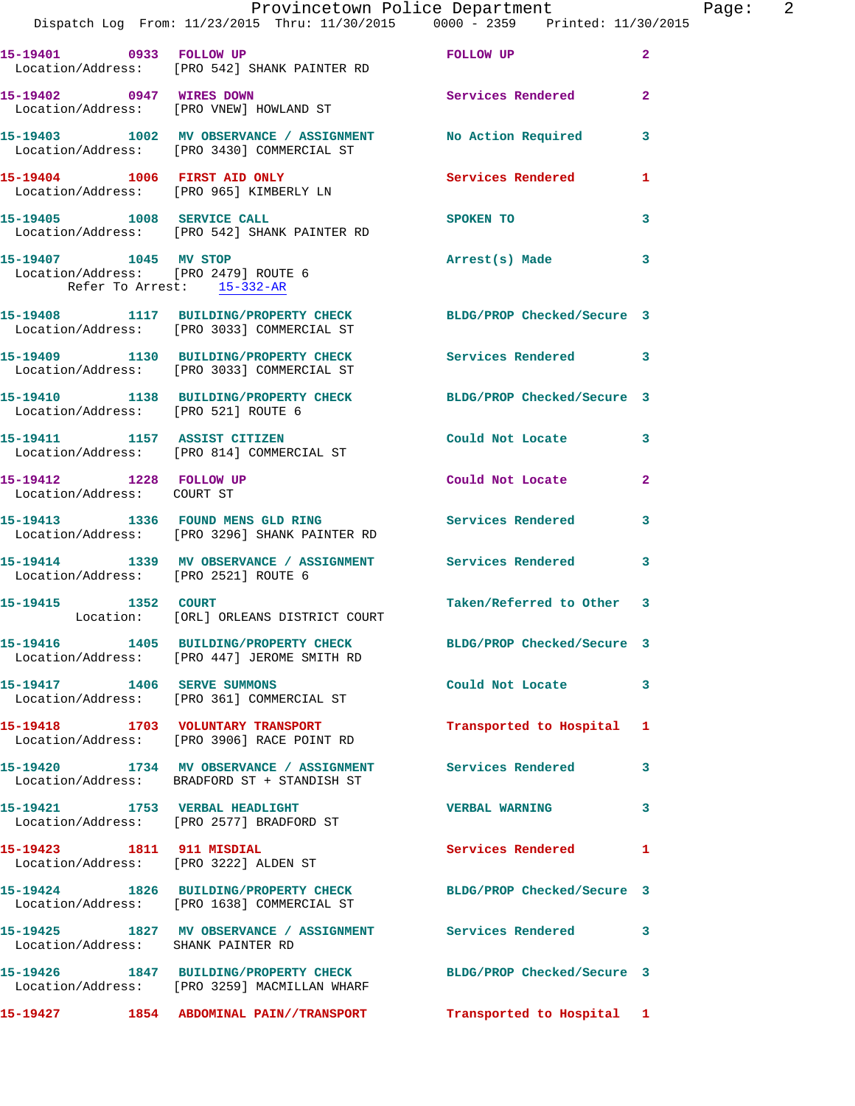|                                                       |                                                                                                                  | Provincetown Police Department                                                                                                                                                                                                | Page: 2        |
|-------------------------------------------------------|------------------------------------------------------------------------------------------------------------------|-------------------------------------------------------------------------------------------------------------------------------------------------------------------------------------------------------------------------------|----------------|
|                                                       | Dispatch Log From: 11/23/2015 Thru: 11/30/2015 0000 - 2359 Printed: 11/30/2015                                   |                                                                                                                                                                                                                               |                |
|                                                       | 15-19401 0933 FOLLOW UP<br>Location/Address: [PRO 542] SHANK PAINTER RD                                          | FOLLOW UP AND THE RESIDENCE OF A STRIKE AND THE RESIDENCE OF A STRIKE OF THE RESIDENCE OF A STRIKE OF THE RESIDENCE OF A STRIKE OF THE RESIDENCE OF A STRIKE OF THE RESIDENCE OF A STRIKE OF THE RESIDENCE OF A STRIKE OF THE | $\overline{2}$ |
|                                                       | 15-19402 0947 WIRES DOWN Services Rendered 2<br>Location/Address: [PRO VNEW] HOWLAND ST                          |                                                                                                                                                                                                                               |                |
|                                                       | 15-19403 1002 MV OBSERVANCE / ASSIGNMENT No Action Required 3<br>Location/Address: [PRO 3430] COMMERCIAL ST      |                                                                                                                                                                                                                               |                |
|                                                       | 15-19404 1006 FIRST AID ONLY <b>Services Rendered</b> 1<br>Location/Address: [PRO 965] KIMBERLY LN               |                                                                                                                                                                                                                               |                |
|                                                       | 15-19405 1008 SERVICE CALL<br>Location/Address: [PRO 542] SHANK PAINTER RD                                       | <b>SPOKEN TO</b>                                                                                                                                                                                                              | $\mathbf{3}$   |
| Refer To Arrest: 15-332-AR                            | 15-19407 1045 MV STOP<br>Location/Address: [PRO 2479] ROUTE 6                                                    | Arrest(s) Made                                                                                                                                                                                                                | $\mathbf{3}$   |
|                                                       | 15-19408 1117 BUILDING/PROPERTY CHECK BLDG/PROP Checked/Secure 3<br>Location/Address: [PRO 3033] COMMERCIAL ST   |                                                                                                                                                                                                                               |                |
|                                                       | 15-19409 1130 BUILDING/PROPERTY CHECK Services Rendered 3<br>Location/Address: [PRO 3033] COMMERCIAL ST          |                                                                                                                                                                                                                               |                |
| Location/Address: [PRO 521] ROUTE 6                   | 15-19410 1138 BUILDING/PROPERTY CHECK BLDG/PROP Checked/Secure 3                                                 |                                                                                                                                                                                                                               |                |
|                                                       |                                                                                                                  | Could Not Locate 3                                                                                                                                                                                                            |                |
| 15-19412 1228 FOLLOW UP<br>Location/Address: COURT ST |                                                                                                                  | Could Not Locate                                                                                                                                                                                                              | $\mathbf{2}$   |
|                                                       | 15-19413 1336 FOUND MENS GLD RING Services Rendered 3<br>Location/Address: [PRO 3296] SHANK PAINTER RD           |                                                                                                                                                                                                                               |                |
| Location/Address: [PRO 2521] ROUTE 6                  | 15-19414 1339 MV OBSERVANCE / ASSIGNMENT Services Rendered 3                                                     |                                                                                                                                                                                                                               |                |
| 15-19415 1352 COURT                                   | Location: [ORL] ORLEANS DISTRICT COURT                                                                           | Taken/Referred to Other 3                                                                                                                                                                                                     |                |
|                                                       | 15-19416 1405 BUILDING/PROPERTY CHECK BLDG/PROP Checked/Secure 3<br>Location/Address: [PRO 447] JEROME SMITH RD  |                                                                                                                                                                                                                               |                |
|                                                       | 15-19417 1406 SERVE SUMMONS<br>Location/Address: [PRO 361] COMMERCIAL ST                                         | Could Not Locate 3                                                                                                                                                                                                            |                |
|                                                       | 15-19418 1703 VOLUNTARY TRANSPORT<br>Location/Address: [PRO 3906] RACE POINT RD                                  | Transported to Hospital 1                                                                                                                                                                                                     |                |
|                                                       | 15-19420 1734 MV OBSERVANCE / ASSIGNMENT Services Rendered 3<br>Location/Address: BRADFORD ST + STANDISH ST      |                                                                                                                                                                                                                               |                |
|                                                       | 15-19421 1753 VERBAL HEADLIGHT<br>Location/Address: [PRO 2577] BRADFORD ST                                       | VERBAL WARNING 3                                                                                                                                                                                                              |                |
|                                                       | 15-19423 1811 911 MISDIAL<br>Location/Address: [PRO 3222] ALDEN ST                                               | Services Rendered 1                                                                                                                                                                                                           |                |
|                                                       | 15-19424 1826 BUILDING/PROPERTY CHECK BLDG/PROP Checked/Secure 3<br>Location/Address: [PRO 1638] COMMERCIAL ST   |                                                                                                                                                                                                                               |                |
| Location/Address: SHANK PAINTER RD                    | 15-19425 1827 MV OBSERVANCE / ASSIGNMENT Services Rendered 3                                                     |                                                                                                                                                                                                                               |                |
|                                                       | 15-19426 1847 BUILDING/PROPERTY CHECK BLDG/PROP Checked/Secure 3<br>Location/Address: [PRO 3259] MACMILLAN WHARF |                                                                                                                                                                                                                               |                |
|                                                       | 15-19427 1854 ABDOMINAL PAIN//TRANSPORT                                                                          | Transported to Hospital 1                                                                                                                                                                                                     |                |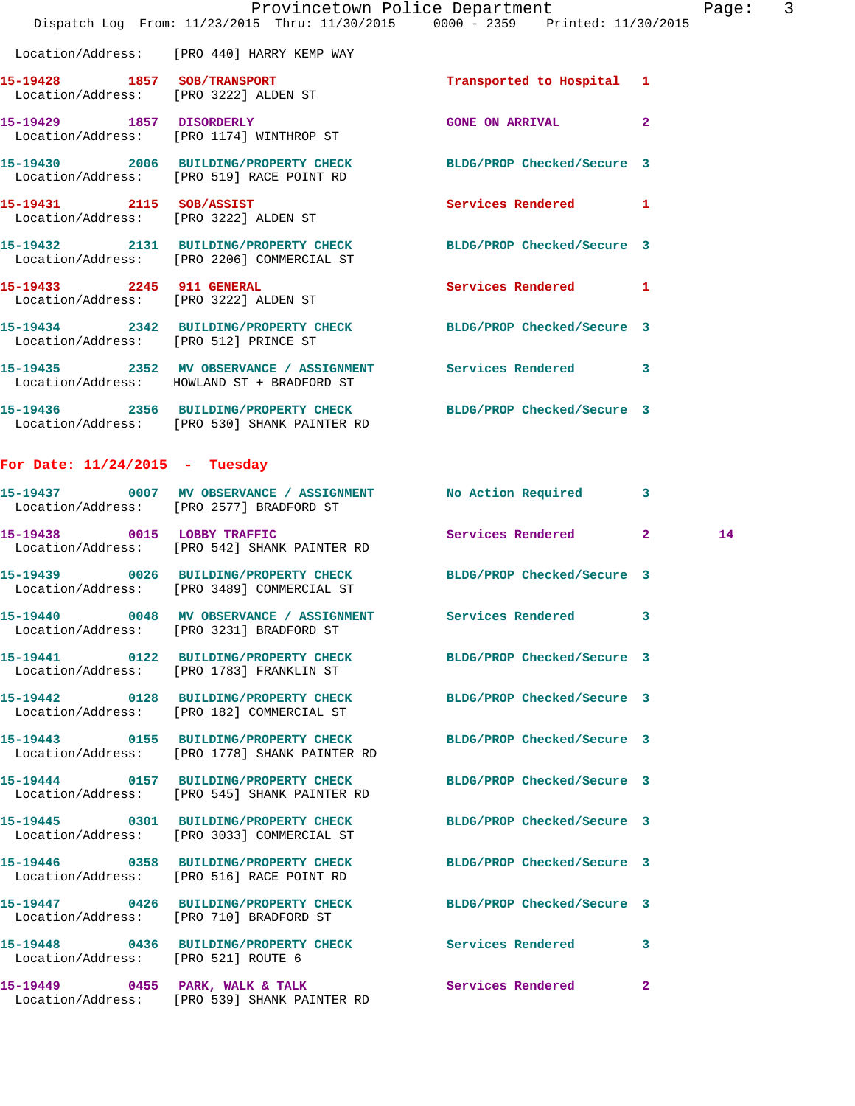| Dispatch Log From: 11/23/2015 Thru: 11/30/2015 0000 - 2359 Printed: 11/30/2015<br>Location/Address: [PRO 440] HARRY KEMP WAY<br>15-19428 1857 SOB/TRANSPORT<br>Transported to Hospital 1<br>Location/Address: [PRO 3222] ALDEN ST<br>15-19429 1857 DISORDERLY<br><b>GONE ON ARRIVAL</b><br>$\overline{2}$<br>Location/Address: [PRO 1174] WINTHROP ST<br>15-19430 2006 BUILDING/PROPERTY CHECK BLDG/PROP Checked/Secure 3<br>Location/Address: [PRO 519] RACE POINT RD<br>15-19431 2115 SOB/ASSIST<br>Services Rendered 1<br>Location/Address: [PRO 3222] ALDEN ST<br>15-19432 2131 BUILDING/PROPERTY CHECK BLDG/PROP Checked/Secure 3<br>Location/Address: [PRO 2206] COMMERCIAL ST<br>15-19433 2245 911 GENERAL<br>Services Rendered 1<br>Location/Address: [PRO 3222] ALDEN ST<br>15-19434 2342 BUILDING/PROPERTY CHECK BLDG/PROP Checked/Secure 3 |  |
|-------------------------------------------------------------------------------------------------------------------------------------------------------------------------------------------------------------------------------------------------------------------------------------------------------------------------------------------------------------------------------------------------------------------------------------------------------------------------------------------------------------------------------------------------------------------------------------------------------------------------------------------------------------------------------------------------------------------------------------------------------------------------------------------------------------------------------------------------------|--|
|                                                                                                                                                                                                                                                                                                                                                                                                                                                                                                                                                                                                                                                                                                                                                                                                                                                       |  |
|                                                                                                                                                                                                                                                                                                                                                                                                                                                                                                                                                                                                                                                                                                                                                                                                                                                       |  |
|                                                                                                                                                                                                                                                                                                                                                                                                                                                                                                                                                                                                                                                                                                                                                                                                                                                       |  |
|                                                                                                                                                                                                                                                                                                                                                                                                                                                                                                                                                                                                                                                                                                                                                                                                                                                       |  |
|                                                                                                                                                                                                                                                                                                                                                                                                                                                                                                                                                                                                                                                                                                                                                                                                                                                       |  |
|                                                                                                                                                                                                                                                                                                                                                                                                                                                                                                                                                                                                                                                                                                                                                                                                                                                       |  |
|                                                                                                                                                                                                                                                                                                                                                                                                                                                                                                                                                                                                                                                                                                                                                                                                                                                       |  |
|                                                                                                                                                                                                                                                                                                                                                                                                                                                                                                                                                                                                                                                                                                                                                                                                                                                       |  |
| Location/Address: [PRO 512] PRINCE ST                                                                                                                                                                                                                                                                                                                                                                                                                                                                                                                                                                                                                                                                                                                                                                                                                 |  |
| 3<br>Location/Address: HOWLAND ST + BRADFORD ST                                                                                                                                                                                                                                                                                                                                                                                                                                                                                                                                                                                                                                                                                                                                                                                                       |  |
| 15-19436 2356 BUILDING/PROPERTY CHECK BLDG/PROP Checked/Secure 3<br>Location/Address: [PRO 530] SHANK PAINTER RD                                                                                                                                                                                                                                                                                                                                                                                                                                                                                                                                                                                                                                                                                                                                      |  |
| For Date: $11/24/2015$ - Tuesday                                                                                                                                                                                                                                                                                                                                                                                                                                                                                                                                                                                                                                                                                                                                                                                                                      |  |

|                                     | Location/Address: [PRO 2577] BRADFORD ST                                                                          |                     |                |    |
|-------------------------------------|-------------------------------------------------------------------------------------------------------------------|---------------------|----------------|----|
|                                     | 15-19438 0015 LOBBY TRAFFIC<br>Location/Address: [PRO 542] SHANK PAINTER RD                                       | Services Rendered 2 |                | 14 |
|                                     | 15-19439 0026 BUILDING/PROPERTY CHECK BLDG/PROP Checked/Secure 3<br>Location/Address: [PRO 3489] COMMERCIAL ST    |                     |                |    |
|                                     | 15-19440 0048 MV OBSERVANCE / ASSIGNMENT Services Rendered 3<br>Location/Address: [PRO 3231] BRADFORD ST          |                     |                |    |
|                                     | 15-19441 0122 BUILDING/PROPERTY CHECK BLDG/PROP Checked/Secure 3<br>Location/Address: [PRO 1783] FRANKLIN ST      |                     |                |    |
|                                     | 15-19442 0128 BUILDING/PROPERTY CHECK BLDG/PROP Checked/Secure 3<br>Location/Address: [PRO 182] COMMERCIAL ST     |                     |                |    |
|                                     | 15-19443 0155 BUILDING/PROPERTY CHECK BLDG/PROP Checked/Secure 3<br>Location/Address: [PRO 1778] SHANK PAINTER RD |                     |                |    |
|                                     | 15-19444 0157 BUILDING/PROPERTY CHECK BLDG/PROP Checked/Secure 3<br>Location/Address: [PRO 545] SHANK PAINTER RD  |                     |                |    |
|                                     | 15-19445 0301 BUILDING/PROPERTY CHECK BLDG/PROP Checked/Secure 3<br>Location/Address: [PRO 3033] COMMERCIAL ST    |                     |                |    |
|                                     | 15-19446 0358 BUILDING/PROPERTY CHECK BLDG/PROP Checked/Secure 3<br>Location/Address: [PRO 516] RACE POINT RD     |                     |                |    |
|                                     | 15-19447 0426 BUILDING/PROPERTY CHECK BLDG/PROP Checked/Secure 3<br>Location/Address: [PRO 710] BRADFORD ST       |                     |                |    |
| Location/Address: [PRO 521] ROUTE 6 | 15-19448 0436 BUILDING/PROPERTY CHECK Services Rendered                                                           |                     | 3              |    |
|                                     | Location/Address: [PRO 539] SHANK PAINTER RD                                                                      |                     | $\overline{2}$ |    |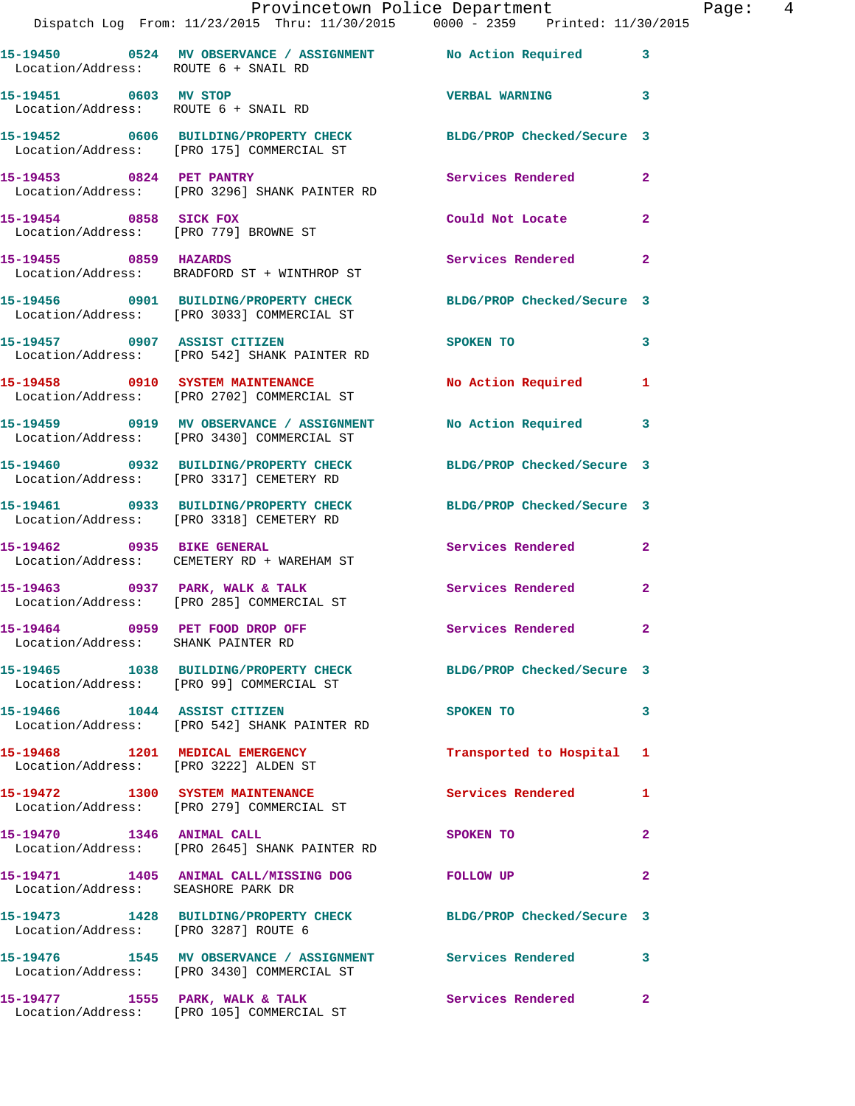|                                                                       | Dispatch Log From: 11/23/2015 Thru: 11/30/2015 0000 - 2359 Printed: 11/30/2015                                 | Provincetown Police Department | Page: 4                 |  |
|-----------------------------------------------------------------------|----------------------------------------------------------------------------------------------------------------|--------------------------------|-------------------------|--|
| Location/Address: ROUTE 6 + SNAIL RD                                  | 15-19450 0524 MV OBSERVANCE / ASSIGNMENT No Action Required 3                                                  |                                |                         |  |
| 15-19451 0603 MV STOP                                                 | Location/Address: ROUTE 6 + SNAIL RD                                                                           | VERBAL WARNING 3               |                         |  |
|                                                                       | 15-19452 0606 BUILDING/PROPERTY CHECK BLDG/PROP Checked/Secure 3<br>Location/Address: [PRO 175] COMMERCIAL ST  |                                |                         |  |
|                                                                       |                                                                                                                | Services Rendered 2            |                         |  |
| 15-19454 0858 SICK FOX                                                | Location/Address: [PRO 779] BROWNE ST                                                                          | Could Not Locate               | $\mathbf{2}$            |  |
|                                                                       | 15-19455 0859 HAZARDS<br>Location/Address: BRADFORD ST + WINTHROP ST                                           | Services Rendered              | $\overline{a}$          |  |
|                                                                       | 15-19456 0901 BUILDING/PROPERTY CHECK BLDG/PROP Checked/Secure 3<br>Location/Address: [PRO 3033] COMMERCIAL ST |                                |                         |  |
|                                                                       | 15-19457 0907 ASSIST CITIZEN<br>Location/Address: [PRO 542] SHANK PAINTER RD                                   | SPOKEN TO                      | 3                       |  |
|                                                                       | 15-19458 0910 SYSTEM MAINTENANCE<br>Location/Address: [PRO 2702] COMMERCIAL ST                                 | No Action Required 1           |                         |  |
|                                                                       | 15-19459 0919 MV OBSERVANCE / ASSIGNMENT No Action Required<br>Location/Address: [PRO 3430] COMMERCIAL ST      |                                | 3                       |  |
|                                                                       | 15-19460 0932 BUILDING/PROPERTY CHECK BLDG/PROP Checked/Secure 3<br>Location/Address: [PRO 3317] CEMETERY RD   |                                |                         |  |
|                                                                       | 15-19461 0933 BUILDING/PROPERTY CHECK BLDG/PROP Checked/Secure 3<br>Location/Address: [PRO 3318] CEMETERY RD   |                                |                         |  |
| 15-19462 0935 BIKE GENERAL                                            | Location/Address: CEMETERY RD + WAREHAM ST                                                                     | Services Rendered 2            |                         |  |
|                                                                       | 15-19463     0937   PARK, WALK & TALK<br>Location/Address:    [PRO 285] COMMERCIAL ST                          | Services Rendered 2            |                         |  |
| 15-19464 0959 PET FOOD DROP OFF<br>Location/Address: SHANK PAINTER RD |                                                                                                                | Services Rendered 2            |                         |  |
|                                                                       | 15-19465 1038 BUILDING/PROPERTY CHECK BLDG/PROP Checked/Secure 3<br>Location/Address: [PRO 99] COMMERCIAL ST   |                                |                         |  |
|                                                                       | 15-19466 1044 ASSIST CITIZEN<br>Location/Address: [PRO 542] SHANK PAINTER RD                                   | SPOKEN TO                      | 3                       |  |
|                                                                       | 15-19468 1201 MEDICAL EMERGENCY<br>Location/Address: [PRO 3222] ALDEN ST                                       | Transported to Hospital 1      |                         |  |
|                                                                       | 15-19472 1300 SYSTEM MAINTENANCE<br>Location/Address: [PRO 279] COMMERCIAL ST                                  | Services Rendered 1            |                         |  |
|                                                                       | 15-19470 1346 ANIMAL CALL<br>Location/Address: [PRO 2645] SHANK PAINTER RD                                     | SPOKEN TO                      | $\mathbf{2}$            |  |
| Location/Address: SEASHORE PARK DR                                    | 15-19471 1405 ANIMAL CALL/MISSING DOG FOLLOW UP                                                                |                                | $\overline{\mathbf{2}}$ |  |
| Location/Address: [PRO 3287] ROUTE 6                                  | 15-19473 1428 BUILDING/PROPERTY CHECK BLDG/PROP Checked/Secure 3                                               |                                |                         |  |
|                                                                       | 15-19476 1545 MV OBSERVANCE / ASSIGNMENT Services Rendered<br>Location/Address: [PRO 3430] COMMERCIAL ST       |                                | 3                       |  |
|                                                                       | 15-19477 1555 PARK, WALK & TALK<br>Location/Address: [PRO 105] COMMERCIAL ST                                   | Services Rendered              | $\mathbf{2}$            |  |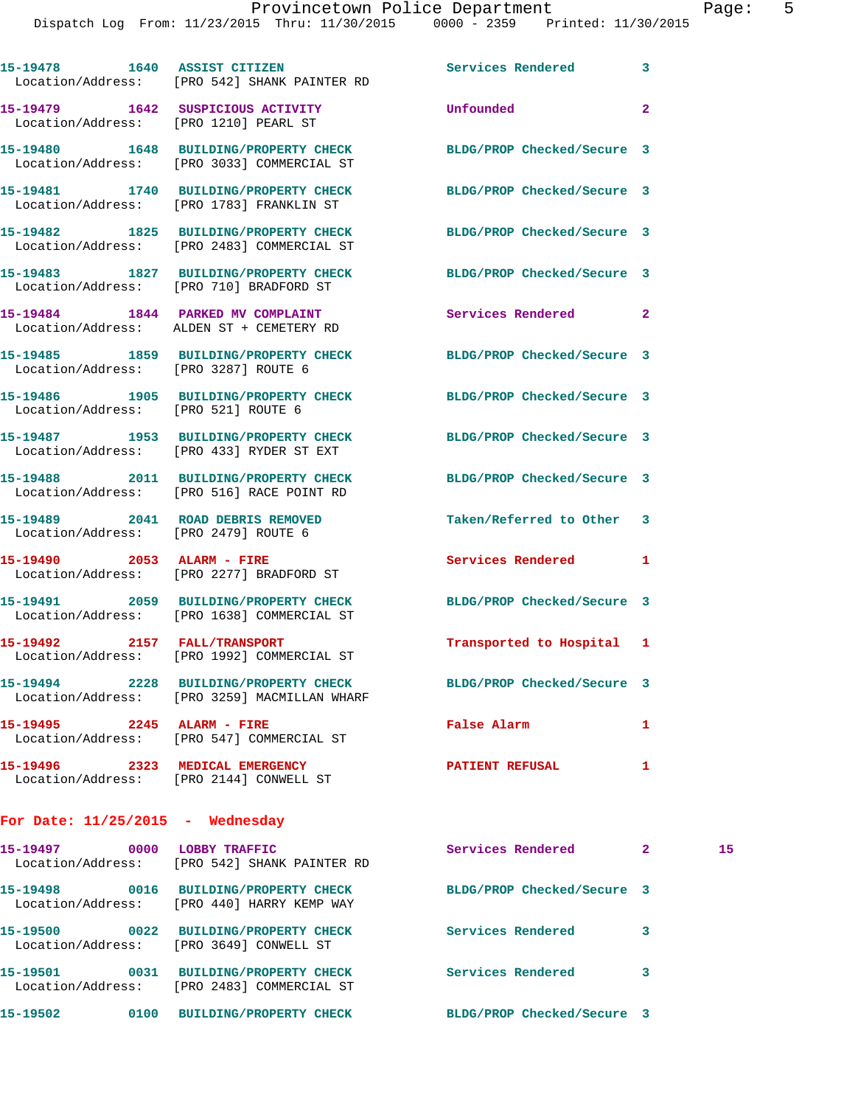|                                       |                                                                                                                | Services Rendered          | $\mathbf{2}$ and $\mathbf{2}$ and $\mathbf{3}$ | 15 |
|---------------------------------------|----------------------------------------------------------------------------------------------------------------|----------------------------|------------------------------------------------|----|
| For Date: $11/25/2015$ - Wednesday    |                                                                                                                |                            |                                                |    |
| 15-19496 2323 MEDICAL EMERGENCY       | Location/Address: [PRO 2144] CONWELL ST                                                                        | <b>PATIENT REFUSAL</b>     | 1                                              |    |
| 15-19495 2245 ALARM - FIRE            | Location/Address: [PRO 547] COMMERCIAL ST                                                                      | <b>False Alarm</b>         | 1                                              |    |
|                                       | 15-19494 2228 BUILDING/PROPERTY CHECK<br>Location/Address: [PRO 3259] MACMILLAN WHARF                          | BLDG/PROP Checked/Secure 3 |                                                |    |
|                                       | 15-19492 2157 FALL/TRANSPORT<br>Location/Address: [PRO 1992] COMMERCIAL ST                                     | Transported to Hospital 1  |                                                |    |
|                                       | 15-19491 2059 BUILDING/PROPERTY CHECK BLDG/PROP Checked/Secure 3<br>Location/Address: [PRO 1638] COMMERCIAL ST |                            |                                                |    |
|                                       | 15-19490 2053 ALARM - FIRE<br>Location/Address: [PRO 2277] BRADFORD ST                                         | <b>Services Rendered</b>   | 1                                              |    |
|                                       | 15-19489 2041 ROAD DEBRIS REMOVED<br>Location/Address: [PRO 2479] ROUTE 6                                      | Taken/Referred to Other 3  |                                                |    |
|                                       | 15-19488 2011 BUILDING/PROPERTY CHECK<br>Location/Address: [PRO 516] RACE POINT RD                             | BLDG/PROP Checked/Secure 3 |                                                |    |
|                                       | 15-19487 1953 BUILDING/PROPERTY CHECK<br>Location/Address: [PRO 433] RYDER ST EXT                              | BLDG/PROP Checked/Secure 3 |                                                |    |
| Location/Address: [PRO 521] ROUTE 6   | 15-19486 1905 BUILDING/PROPERTY CHECK                                                                          | BLDG/PROP Checked/Secure 3 |                                                |    |
| Location/Address: [PRO 3287] ROUTE 6  | 15-19485 1859 BUILDING/PROPERTY CHECK                                                                          | BLDG/PROP Checked/Secure 3 |                                                |    |
|                                       | 15-19484 1844 PARKED MV COMPLAINT<br>Location/Address: ALDEN ST + CEMETERY RD                                  | <b>Services Rendered</b> 2 |                                                |    |
|                                       | 15-19483 1827 BUILDING/PROPERTY CHECK BLDG/PROP Checked/Secure 3<br>Location/Address: [PRO 710] BRADFORD ST    |                            |                                                |    |
|                                       | 15-19482 1825 BUILDING/PROPERTY CHECK<br>Location/Address: [PRO 2483] COMMERCIAL ST                            | BLDG/PROP Checked/Secure 3 |                                                |    |
|                                       | 15-19481 1740 BUILDING/PROPERTY CHECK<br>Location/Address: [PRO 1783] FRANKLIN ST                              | BLDG/PROP Checked/Secure 3 |                                                |    |
|                                       | 15-19480 1648 BUILDING/PROPERTY CHECK BLDG/PROP Checked/Secure 3<br>Location/Address: [PRO 3033] COMMERCIAL ST |                            |                                                |    |
| Location/Address: [PRO 1210] PEARL ST | 15-19479    1642    SUSPICIOUS ACTIVITY                                                                        | Unfounded                  | $\overline{a}$                                 |    |
|                                       | 15-19478 1640 ASSIST CITIZEN<br>Location/Address: [PRO 542] SHANK PAINTER RD                                   | Services Rendered 3        |                                                |    |
|                                       |                                                                                                                |                            |                                                |    |

| .                                     | LODD I IVAFFIC<br>Location/Address: [PRO 542] SHANK PAINTER RD               | DELVICES AEINELEU          | - |  |
|---------------------------------------|------------------------------------------------------------------------------|----------------------------|---|--|
| 15-19498<br>0016                      | <b>BUILDING/PROPERTY CHECK</b><br>Location/Address: [PRO 440] HARRY KEMP WAY | BLDG/PROP Checked/Secure 3 |   |  |
| 15–19500<br>0022                      | <b>BUILDING/PROPERTY CHECK</b><br>Location/Address: [PRO 3649] CONWELL ST    | Services Rendered          | 3 |  |
| 15-19501<br>0031<br>Location/Address: | <b>BUILDING/PROPERTY CHECK</b><br>[PRO 2483] COMMERCIAL ST                   | Services Rendered          | 3 |  |
| 15-19502<br>0100                      | <b>BUILDING/PROPERTY CHECK</b>                                               | BLDG/PROP Checked/Secure 3 |   |  |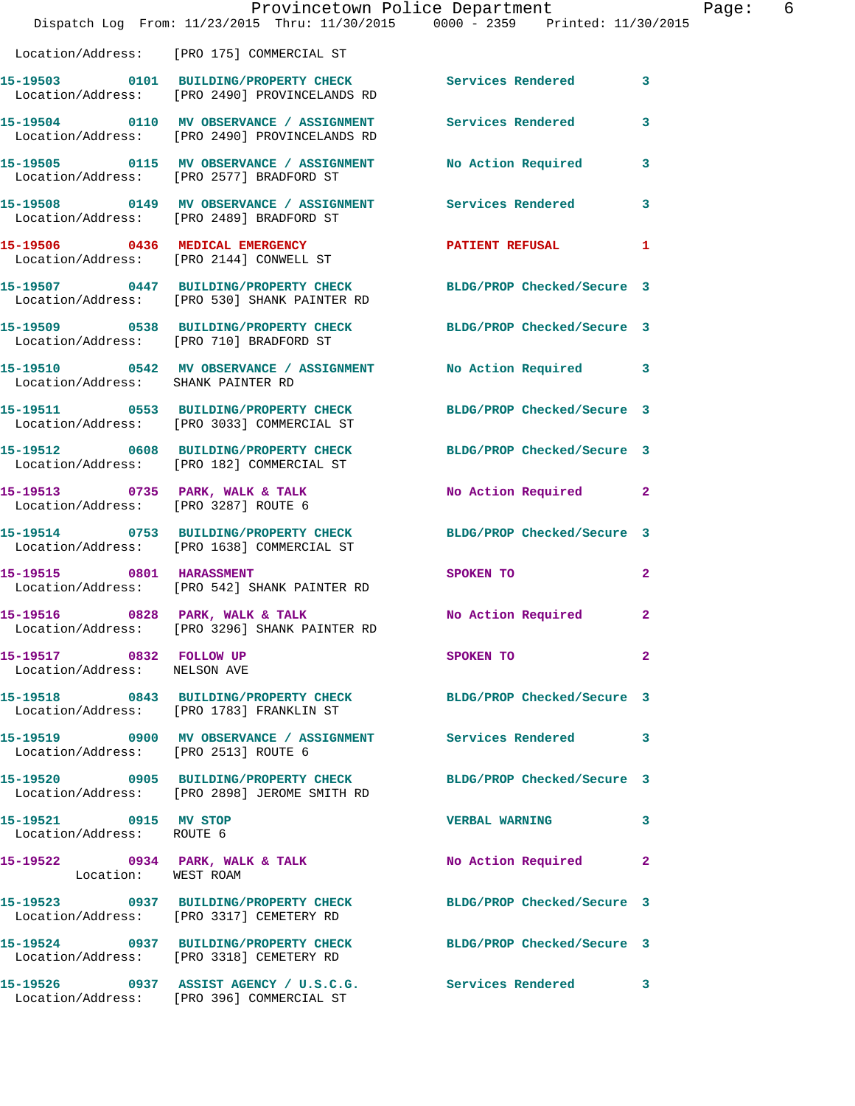|                                                         | Provincetown Police Department<br>Dispatch Log From: 11/23/2015 Thru: 11/30/2015 0000 - 2359 Printed: 11/30/2015 |                            |                |
|---------------------------------------------------------|------------------------------------------------------------------------------------------------------------------|----------------------------|----------------|
|                                                         | Location/Address: [PRO 175] COMMERCIAL ST                                                                        |                            |                |
|                                                         | 15-19503 0101 BUILDING/PROPERTY CHECK Services Rendered<br>Location/Address: [PRO 2490] PROVINCELANDS RD         |                            | 3              |
|                                                         | 15-19504 0110 MV OBSERVANCE / ASSIGNMENT Services Rendered<br>Location/Address: [PRO 2490] PROVINCELANDS RD      |                            | 3              |
|                                                         | 15-19505 0115 MV OBSERVANCE / ASSIGNMENT No Action Required<br>Location/Address: [PRO 2577] BRADFORD ST          |                            | 3              |
|                                                         | 15-19508 0149 MV OBSERVANCE / ASSIGNMENT Services Rendered<br>Location/Address: [PRO 2489] BRADFORD ST           |                            | 3              |
|                                                         | 15-19506 0436 MEDICAL EMERGENCY<br>Location/Address: [PRO 2144] CONWELL ST                                       | PATIENT REFUSAL            | 1              |
|                                                         | 15-19507 0447 BUILDING/PROPERTY CHECK BLDG/PROP Checked/Secure 3<br>Location/Address: [PRO 530] SHANK PAINTER RD |                            |                |
|                                                         | 15-19509 0538 BUILDING/PROPERTY CHECK BLDG/PROP Checked/Secure 3<br>Location/Address: [PRO 710] BRADFORD ST      |                            |                |
|                                                         |                                                                                                                  |                            | 3              |
|                                                         | 15-19511 0553 BUILDING/PROPERTY CHECK BLDG/PROP Checked/Secure 3<br>Location/Address: [PRO 3033] COMMERCIAL ST   |                            |                |
|                                                         | 15-19512 0608 BUILDING/PROPERTY CHECK<br>Location/Address: [PRO 182] COMMERCIAL ST                               | BLDG/PROP Checked/Secure 3 |                |
|                                                         | 15-19513 0735 PARK, WALK & TALK<br>Location/Address: [PRO 3287] ROUTE 6                                          | No Action Required         | 2              |
|                                                         | 15-19514 0753 BUILDING/PROPERTY CHECK BLDG/PROP Checked/Secure 3<br>Location/Address: [PRO 1638] COMMERCIAL ST   |                            |                |
| 15-19515 0801 HARASSMENT                                | Location/Address: [PRO 542] SHANK PAINTER RD                                                                     | SPOKEN TO                  | $\overline{2}$ |
|                                                         | 15-19516 0828 PARK, WALK & TALK NO Action Required<br>Location/Address: [PRO 3296] SHANK PAINTER RD              |                            | $\mathbf{2}$   |
| 15-19517 0832 FOLLOW UP<br>Location/Address: NELSON AVE |                                                                                                                  | SPOKEN TO                  | $\overline{2}$ |
|                                                         | 15-19518 0843 BUILDING/PROPERTY CHECK BLDG/PROP Checked/Secure 3<br>Location/Address: [PRO 1783] FRANKLIN ST     |                            |                |
|                                                         | 15-19519     0900 MV OBSERVANCE / ASSIGNMENT      Services Rendered<br>Location/Address:   [PRO 2513] ROUTE 6    |                            | 3              |
|                                                         | 15-19520 0905 BUILDING/PROPERTY CHECK BLDG/PROP Checked/Secure 3<br>Location/Address: [PRO 2898] JEROME SMITH RD |                            |                |
| 15-19521 0915 MV STOP<br>Location/Address: ROUTE 6      |                                                                                                                  | <b>VERBAL WARNING</b>      | 3              |
| Location: WEST ROAM                                     | 15-19522 0934 PARK, WALK & TALK                                                                                  | <b>No Action Required</b>  | $\mathbf{2}$   |
|                                                         | 15-19523 0937 BUILDING/PROPERTY CHECK<br>Location/Address: [PRO 3317] CEMETERY RD                                | BLDG/PROP Checked/Secure 3 |                |
|                                                         | 15-19524 0937 BUILDING/PROPERTY CHECK BLDG/PROP Checked/Secure 3<br>Location/Address: [PRO 3318] CEMETERY RD     |                            |                |
|                                                         | 15-19526 0937 ASSIST AGENCY / U.S.C.G. Services Rendered<br>Location/Address: [PRO 396] COMMERCIAL ST            |                            | 3              |

Page: 6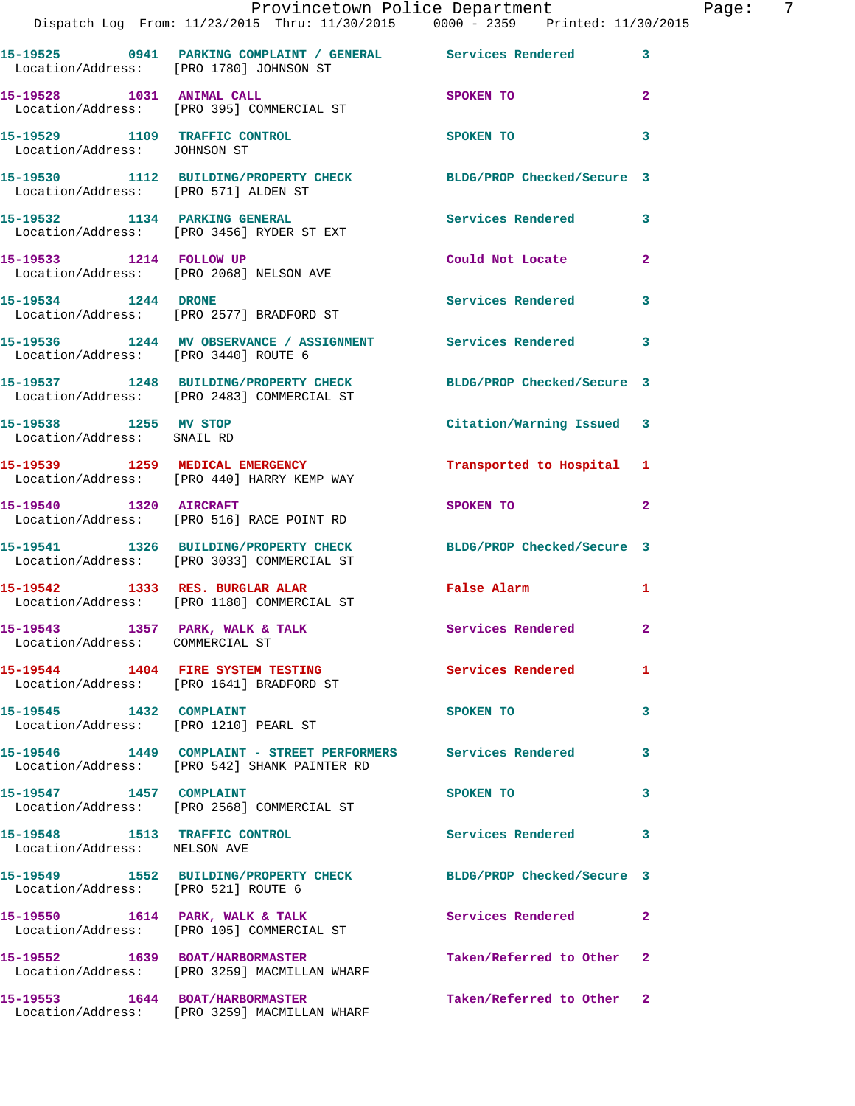|                                                     | Provincetown Police Department The Page: 7<br>Dispatch Log From: 11/23/2015 Thru: 11/30/2015 0000 - 2359 Printed: 11/30/2015 |                           |                |  |
|-----------------------------------------------------|------------------------------------------------------------------------------------------------------------------------------|---------------------------|----------------|--|
|                                                     | 15-19525 0941 PARKING COMPLAINT / GENERAL Services Rendered 3<br>Location/Address: [PRO 1780] JOHNSON ST                     |                           |                |  |
|                                                     | 15-19528 1031 ANIMAL CALL<br>Location/Address: [PRO 395] COMMERCIAL ST                                                       | SPOKEN TO                 | $\mathbf{2}$   |  |
| Location/Address: JOHNSON ST                        | 15-19529 1109 TRAFFIC CONTROL SPOKEN TO                                                                                      |                           | 3              |  |
|                                                     | 15-19530 1112 BUILDING/PROPERTY CHECK BLDG/PROP Checked/Secure 3<br>Location/Address: [PRO 571] ALDEN ST                     |                           |                |  |
|                                                     | 15-19532 1134 PARKING GENERAL<br>Location/Address: [PRO 3456] RYDER ST EXT                                                   | Services Rendered 3       |                |  |
|                                                     | 15-19533 1214 FOLLOW UP<br>Location/Address: [PRO 2068] NELSON AVE                                                           | Could Not Locate          | $\overline{2}$ |  |
|                                                     | 15-19534 1244 DRONE<br>Location/Address: [PRO 2577] BRADFORD ST                                                              | Services Rendered 3       |                |  |
|                                                     | 15-19536 1244 MV OBSERVANCE / ASSIGNMENT Services Rendered<br>Location/Address: [PRO 3440] ROUTE 6                           |                           | 3              |  |
|                                                     | 15-19537 1248 BUILDING/PROPERTY CHECK BLDG/PROP Checked/Secure 3<br>Location/Address: [PRO 2483] COMMERCIAL ST               |                           |                |  |
| 15-19538 1255 MV STOP<br>Location/Address: SNAIL RD |                                                                                                                              | Citation/Warning Issued 3 |                |  |
|                                                     | 15-19539 1259 MEDICAL EMERGENCY<br>Location/Address: [PRO 440] HARRY KEMP WAY                                                | Transported to Hospital 1 |                |  |
|                                                     | 15-19540 1320 AIRCRAFT<br>Location/Address: [PRO 516] RACE POINT RD                                                          | SPOKEN TO                 | 2              |  |
|                                                     | 15-19541 1326 BUILDING/PROPERTY CHECK BLDG/PROP Checked/Secure 3<br>Location/Address: [PRO 3033] COMMERCIAL ST               |                           |                |  |
|                                                     | 15-19542 1333 RES. BURGLAR ALAR<br>Location/Address: [PRO 1180] COMMERCIAL ST                                                | False Alarm 1             |                |  |
| Location/Address: COMMERCIAL ST                     | 15-19543 1357 PARK, WALK & TALK                                                                                              | Services Rendered         |                |  |
|                                                     | 15-19544 1404 FIRE SYSTEM TESTING<br>Location/Address: [PRO 1641] BRADFORD ST                                                | <b>Services Rendered</b>  | $\mathbf{1}$   |  |
| 15-19545 1432 COMPLAINT                             | Location/Address: [PRO 1210] PEARL ST                                                                                        | SPOKEN TO                 | 3              |  |
|                                                     | 15-19546 1449 COMPLAINT - STREET PERFORMERS Services Rendered<br>Location/Address: [PRO 542] SHANK PAINTER RD                |                           | 3              |  |
| 15-19547 1457 COMPLAINT                             | Location/Address: [PRO 2568] COMMERCIAL ST                                                                                   | SPOKEN TO                 | $\mathbf{3}$   |  |
| Location/Address: NELSON AVE                        | 15-19548 1513 TRAFFIC CONTROL                                                                                                | Services Rendered         | 3              |  |
| Location/Address: [PRO 521] ROUTE 6                 | 15-19549 1552 BUILDING/PROPERTY CHECK BLDG/PROP Checked/Secure 3                                                             |                           |                |  |
|                                                     | 15-19550 1614 PARK, WALK & TALK 1998 Services Rendered<br>Location/Address: [PRO 105] COMMERCIAL ST                          |                           | 2              |  |
|                                                     | 15-19552 1639 BOAT/HARBORMASTER<br>Location/Address: [PRO 3259] MACMILLAN WHARF                                              | Taken/Referred to Other 2 |                |  |
|                                                     | 15-19553 1644 BOAT/HARBORMASTER<br>Location/Address: [PRO 3259] MACMILLAN WHARF                                              | Taken/Referred to Other 2 |                |  |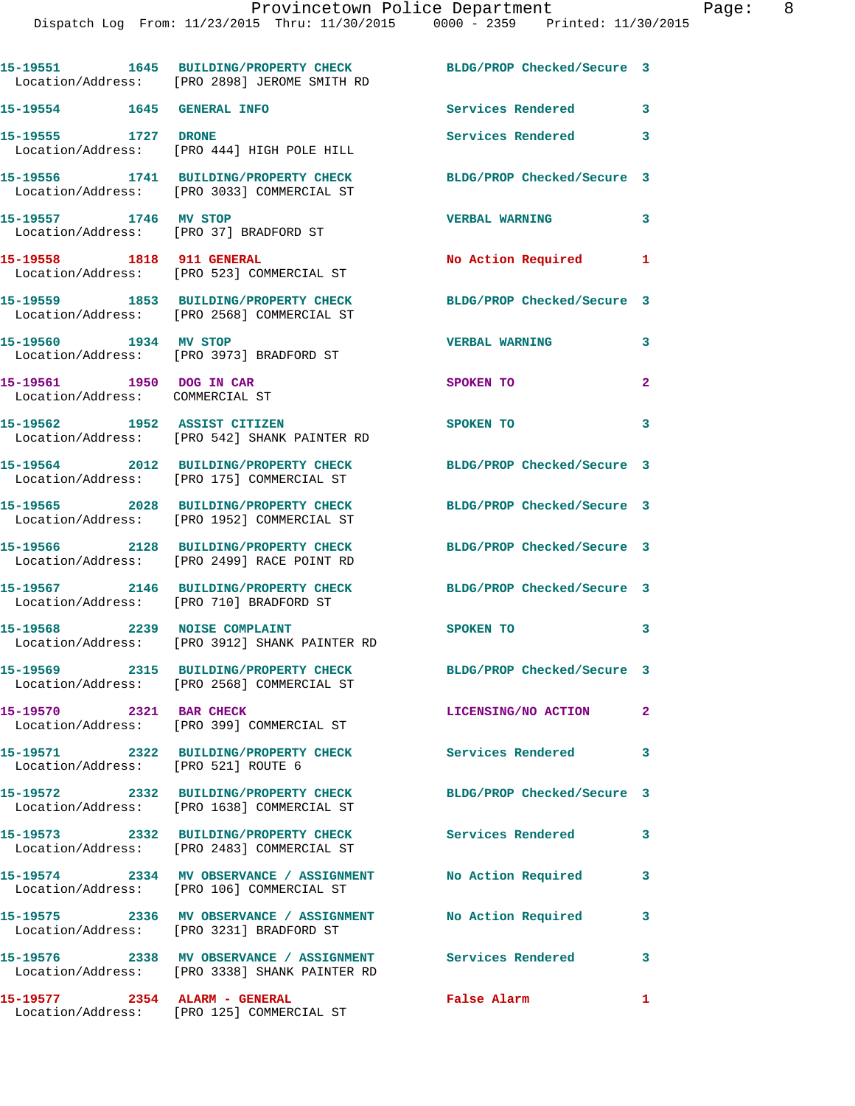|                                                             | 15-19551 1645 BUILDING/PROPERTY CHECK BLDG/PROP Checked/Secure 3<br>Location/Address: [PRO 2898] JEROME SMITH RD |                            |                |
|-------------------------------------------------------------|------------------------------------------------------------------------------------------------------------------|----------------------------|----------------|
| 15-19554 1645 GENERAL INFO                                  |                                                                                                                  | <b>Services Rendered</b>   | 3              |
| 15-19555 1727 DRONE                                         | Location/Address: [PRO 444] HIGH POLE HILL                                                                       | Services Rendered          | 3              |
|                                                             | 15-19556 1741 BUILDING/PROPERTY CHECK<br>Location/Address: [PRO 3033] COMMERCIAL ST                              | BLDG/PROP Checked/Secure 3 |                |
| 15-19557 1746 MV STOP                                       | Location/Address: [PRO 37] BRADFORD ST                                                                           | <b>VERBAL WARNING</b>      | 3              |
| 15-19558 1818 911 GENERAL                                   | Location/Address: [PRO 523] COMMERCIAL ST                                                                        | No Action Required         | 1              |
|                                                             | 15-19559 1853 BUILDING/PROPERTY CHECK<br>Location/Address: [PRO 2568] COMMERCIAL ST                              | BLDG/PROP Checked/Secure 3 |                |
| 15-19560 1934 MV STOP                                       | Location/Address: [PRO 3973] BRADFORD ST                                                                         | <b>VERBAL WARNING</b>      | 3              |
| 15-19561 1950 DOG IN CAR<br>Location/Address: COMMERCIAL ST |                                                                                                                  | SPOKEN TO                  | $\mathbf{2}$   |
|                                                             | 15-19562 1952 ASSIST CITIZEN<br>Location/Address: [PRO 542] SHANK PAINTER RD                                     | SPOKEN TO                  | 3              |
|                                                             | 15-19564 2012 BUILDING/PROPERTY CHECK<br>Location/Address: [PRO 175] COMMERCIAL ST                               | BLDG/PROP Checked/Secure 3 |                |
|                                                             | 15-19565 2028 BUILDING/PROPERTY CHECK<br>Location/Address: [PRO 1952] COMMERCIAL ST                              | BLDG/PROP Checked/Secure 3 |                |
|                                                             | 15-19566 2128 BUILDING/PROPERTY CHECK<br>Location/Address: [PRO 2499] RACE POINT RD                              | BLDG/PROP Checked/Secure 3 |                |
|                                                             | 15-19567 2146 BUILDING/PROPERTY CHECK<br>Location/Address: [PRO 710] BRADFORD ST                                 | BLDG/PROP Checked/Secure 3 |                |
|                                                             | 15-19568 2239 NOISE COMPLAINT<br>Location/Address: [PRO 3912] SHANK PAINTER RD                                   | SPOKEN TO                  | 3              |
|                                                             | 15-19569 2315 BUILDING/PROPERTY CHECK<br>Location/Address: [PRO 2568] COMMERCIAL ST                              | BLDG/PROP Checked/Secure 3 |                |
| 15-19570 2321 BAR CHECK                                     | Location/Address: [PRO 399] COMMERCIAL ST                                                                        | LICENSING/NO ACTION        | $\overline{2}$ |
|                                                             |                                                                                                                  | <b>Services Rendered</b>   | 3              |
|                                                             | 15-19572 2332 BUILDING/PROPERTY CHECK<br>Location/Address: [PRO 1638] COMMERCIAL ST                              | BLDG/PROP Checked/Secure 3 |                |
|                                                             | 15-19573 2332 BUILDING/PROPERTY CHECK<br>Location/Address: [PRO 2483] COMMERCIAL ST                              | Services Rendered          | 3              |
|                                                             | 15-19574 2334 MV OBSERVANCE / ASSIGNMENT<br>Location/Address: [PRO 106] COMMERCIAL ST                            | No Action Required         | 3              |
|                                                             | 15-19575 2336 MV OBSERVANCE / ASSIGNMENT<br>Location/Address: [PRO 3231] BRADFORD ST                             | No Action Required         | 3              |
|                                                             | 15-19576 2338 MV OBSERVANCE / ASSIGNMENT<br>Location/Address: [PRO 3338] SHANK PAINTER RD                        | <b>Services Rendered</b>   | 3              |
| 15-19577 2354 ALARM - GENERAL                               | Location/Address: [PRO 125] COMMERCIAL ST                                                                        | False Alarm                | $\mathbf{1}$   |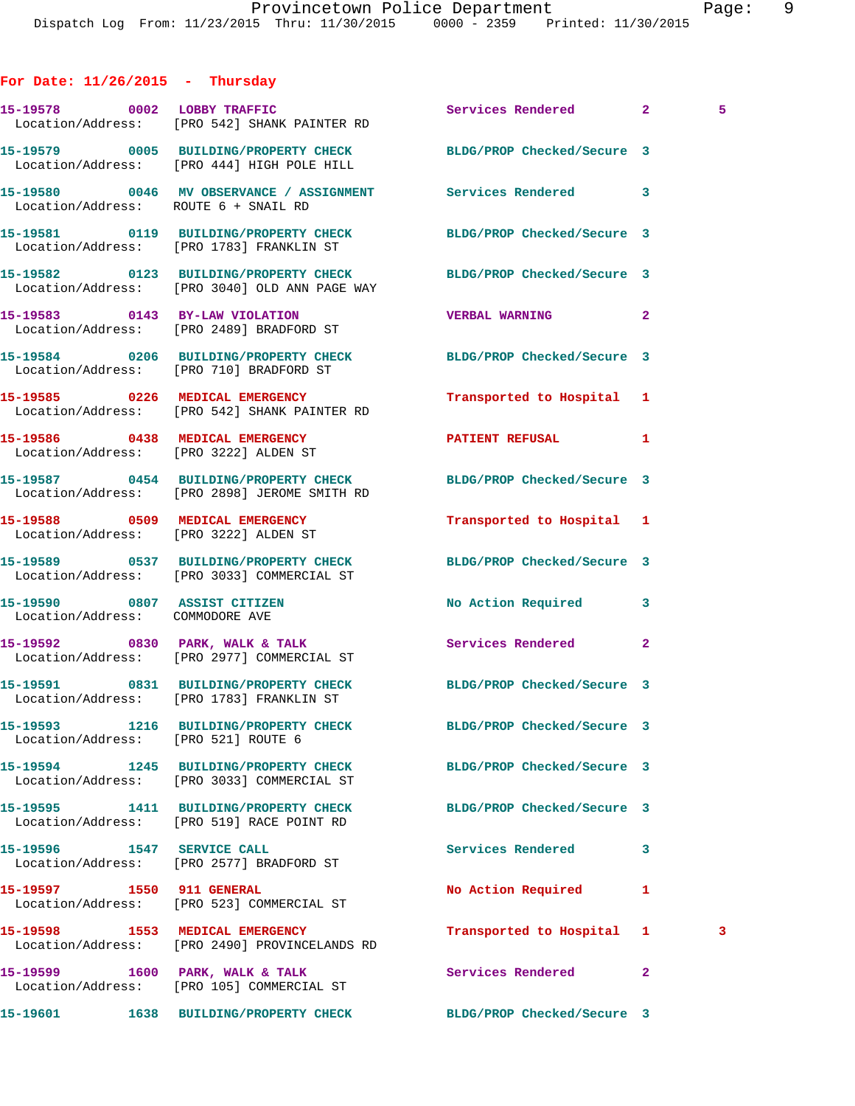## **For Date: 11/26/2015 - Thursday 15-19578 0002 LOBBY TRAFFIC Services Rendered 2 5**  Location/Address: [PRO 542] SHANK PAINTER RD **15-19579 0005 BUILDING/PROPERTY CHECK BLDG/PROP Checked/Secure 3**  Location/Address: [PRO 444] HIGH POLE HILL **15-19580 0046 MV OBSERVANCE / ASSIGNMENT Services Rendered 3**  Location/Address: ROUTE 6 + SNAIL RD **15-19581 0119 BUILDING/PROPERTY CHECK BLDG/PROP Checked/Secure 3**  Location/Address: [PRO 1783] FRANKLIN ST **15-19582 0123 BUILDING/PROPERTY CHECK BLDG/PROP Checked/Secure 3**  Location/Address: [PRO 3040] OLD ANN PAGE WAY **15-19583 0143 BY-LAW VIOLATION VERBAL WARNING 2**  Location/Address: [PRO 2489] BRADFORD ST **15-19584 0206 BUILDING/PROPERTY CHECK BLDG/PROP Checked/Secure 3**  Location/Address: [PRO 710] BRADFORD ST **15-19585 0226 MEDICAL EMERGENCY Transported to Hospital 1**  Location/Address: [PRO 542] SHANK PAINTER RD **15-19586 0438 MEDICAL EMERGENCY PATIENT REFUSAL 1**  Location/Address: [PRO 3222] ALDEN ST **15-19587 0454 BUILDING/PROPERTY CHECK BLDG/PROP Checked/Secure 3**  Location/Address: [PRO 2898] JEROME SMITH RD **15-19588 0509 MEDICAL EMERGENCY Transported to Hospital 1**  Location/Address: [PRO 3222] ALDEN ST **15-19589 0537 BUILDING/PROPERTY CHECK BLDG/PROP Checked/Secure 3**  Location/Address: [PRO 3033] COMMERCIAL ST **15-19590 0807 ASSIST CITIZEN No Action Required 3**  Location/Address: COMMODORE AVE **15-19592 0830 PARK, WALK & TALK Services Rendered 2**  Location/Address: [PRO 2977] COMMERCIAL ST **15-19591 0831 BUILDING/PROPERTY CHECK BLDG/PROP Checked/Secure 3**  Location/Address: [PRO 1783] FRANKLIN ST **15-19593 1216 BUILDING/PROPERTY CHECK BLDG/PROP Checked/Secure 3**  Location/Address: [PRO 521] ROUTE 6 **15-19594 1245 BUILDING/PROPERTY CHECK BLDG/PROP Checked/Secure 3**  Location/Address: [PRO 3033] COMMERCIAL ST **15-19595 1411 BUILDING/PROPERTY CHECK BLDG/PROP Checked/Secure 3**  Location/Address: [PRO 519] RACE POINT RD **15-19596 1547 SERVICE CALL Services Rendered 3**  Location/Address: [PRO 2577] BRADFORD ST **15-19597 1550 911 GENERAL No Action Required 1**  Location/Address: [PRO 523] COMMERCIAL ST **15-19598 1553 MEDICAL EMERGENCY Transported to Hospital 1 3**  Location/Address: [PRO 2490] PROVINCELANDS RD 15-19599 1600 PARK, WALK & TALK **Services Rendered** 2 Location/Address: [PRO 105] COMMERCIAL ST

**15-19601 1638 BUILDING/PROPERTY CHECK BLDG/PROP Checked/Secure 3**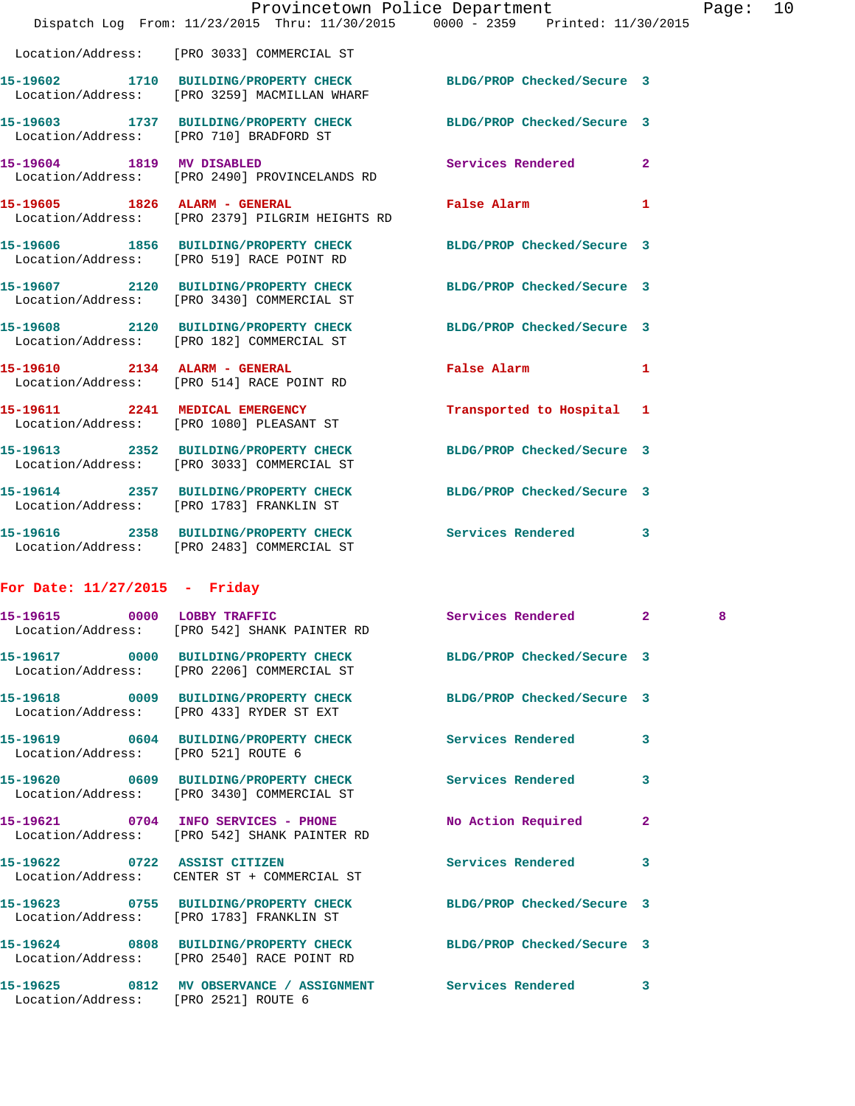|                           | Dispatch Log From: 11/23/2015 Thru: 11/30/2015 0000 - 2359 Printed: 11/30/2015                                   | Provincetown Police Department              |              | Page: 10 |  |
|---------------------------|------------------------------------------------------------------------------------------------------------------|---------------------------------------------|--------------|----------|--|
|                           | Location/Address: [PRO 3033] COMMERCIAL ST                                                                       |                                             |              |          |  |
|                           | 15-19602 1710 BUILDING/PROPERTY CHECK BLDG/PROP Checked/Secure 3<br>Location/Address: [PRO 3259] MACMILLAN WHARF |                                             |              |          |  |
|                           | 15-19603 1737 BUILDING/PROPERTY CHECK BLDG/PROP Checked/Secure 3<br>Location/Address: [PRO 710] BRADFORD ST      |                                             |              |          |  |
| 15-19604 1819 MV DISABLED | Location/Address: [PRO 2490] PROVINCELANDS RD                                                                    | Services Rendered 2                         |              |          |  |
|                           | 15-19605 1826 ALARM - GENERAL<br>Location/Address: [PRO 2379] PILGRIM HEIGHTS RD                                 | <b>False Alarm</b>                          | $\mathbf{1}$ |          |  |
|                           | 15-19606 1856 BUILDING/PROPERTY CHECK BLDG/PROP Checked/Secure 3<br>Location/Address: [PRO 519] RACE POINT RD    |                                             |              |          |  |
|                           | 15-19607 2120 BUILDING/PROPERTY CHECK BLDG/PROP Checked/Secure 3<br>Location/Address: [PRO 3430] COMMERCIAL ST   |                                             |              |          |  |
|                           | 15-19608 2120 BUILDING/PROPERTY CHECK BLDG/PROP Checked/Secure 3<br>Location/Address: [PRO 182] COMMERCIAL ST    |                                             |              |          |  |
|                           | 15-19610 2134 ALARM - GENERAL<br>Location/Address: [PRO 514] RACE POINT RD                                       | False Alarm <b>Exercise Service Service</b> | $\mathbf{1}$ |          |  |
|                           | 15-19611 2241 MEDICAL EMERGENCY<br>Location/Address: [PRO 1080] PLEASANT ST                                      | Transported to Hospital 1                   |              |          |  |
|                           | 15-19613 2352 BUILDING/PROPERTY CHECK<br>Location/Address: [PRO 3033] COMMERCIAL ST                              | BLDG/PROP Checked/Secure 3                  |              |          |  |
|                           | 15-19614 2357 BUILDING/PROPERTY CHECK BLDG/PROP Checked/Secure 3<br>Location/Address: [PRO 1783] FRANKLIN ST     |                                             |              |          |  |
|                           | 15-19616 2358 BUILDING/PROPERTY CHECK Services Rendered<br>Location/Address: [PRO 2483] COMMERCIAL ST            |                                             | $\mathbf{3}$ |          |  |
|                           |                                                                                                                  |                                             |              |          |  |

## **For Date: 11/27/2015 - Friday**

|                                     | 15-19615 0000 LOBBY TRAFFIC<br>Location/Address: [PRO 542] SHANK PAINTER RD                                    | Services Rendered 2 |                         | 8 |
|-------------------------------------|----------------------------------------------------------------------------------------------------------------|---------------------|-------------------------|---|
|                                     | 15-19617 0000 BUILDING/PROPERTY CHECK BLDG/PROP Checked/Secure 3<br>Location/Address: [PRO 2206] COMMERCIAL ST |                     |                         |   |
|                                     | 15-19618 0009 BUILDING/PROPERTY CHECK BLDG/PROP Checked/Secure 3<br>Location/Address: [PRO 433] RYDER ST EXT   |                     |                         |   |
| Location/Address: [PRO 521] ROUTE 6 | 15-19619 0604 BUILDING/PROPERTY CHECK Services Rendered                                                        |                     | $\overline{\mathbf{3}}$ |   |
|                                     | 15-19620 0609 BUILDING/PROPERTY CHECK Services Rendered<br>Location/Address: [PRO 3430] COMMERCIAL ST          |                     | 3                       |   |
|                                     | 15-19621 0704 INFO SERVICES - PHONE No Action Required<br>Location/Address: [PRO 542] SHANK PAINTER RD         |                     | $\overline{2}$          |   |
|                                     | 15-19622 0722 ASSIST CITIZEN<br>Location/Address: CENTER ST + COMMERCIAL ST                                    | Services Rendered   | 3                       |   |
|                                     | 15-19623 0755 BUILDING/PROPERTY CHECK BLDG/PROP Checked/Secure 3<br>Location/Address: [PRO 1783] FRANKLIN ST   |                     |                         |   |
|                                     | 15-19624 0808 BUILDING/PROPERTY CHECK BLDG/PROP Checked/Secure 3<br>Location/Address: [PRO 2540] RACE POINT RD |                     |                         |   |
|                                     | 15-19625 0812 MV OBSERVANCE / ASSIGNMENT Services Rendered<br>Location/Address: [PRO 2521] ROUTE 6             |                     | 3                       |   |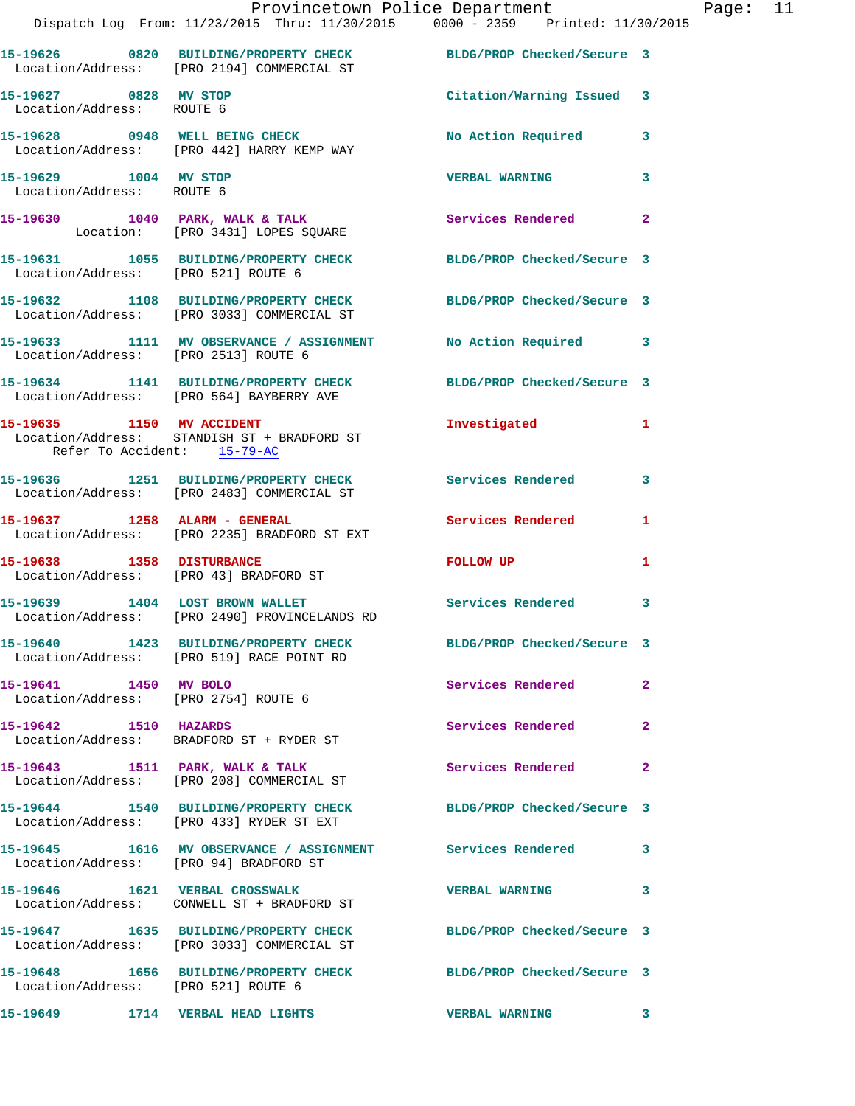|                                                               | Dispatch Log From: 11/23/2015 Thru: 11/30/2015 0000 - 2359 Printed: 11/30/2015                                 | Provincetown Police Department Page: 11 |              |  |
|---------------------------------------------------------------|----------------------------------------------------------------------------------------------------------------|-----------------------------------------|--------------|--|
|                                                               | 15-19626 0820 BUILDING/PROPERTY CHECK BLDG/PROP Checked/Secure 3<br>Location/Address: [PRO 2194] COMMERCIAL ST |                                         |              |  |
| 15-19627 0828 MV STOP<br>Location/Address: ROUTE 6            |                                                                                                                | Citation/Warning Issued 3               |              |  |
|                                                               | 15-19628 0948 WELL BEING CHECK NO Action Required 3<br>Location/Address: [PRO 442] HARRY KEMP WAY              |                                         |              |  |
| 15-19629 1004 MV STOP<br>Location/Address: ROUTE 6            |                                                                                                                | <b>VERBAL WARNING</b>                   | $\mathbf{3}$ |  |
|                                                               | 15-19630 1040 PARK, WALK & TALK Services Rendered 2<br>Location: [PRO 3431] LOPES SQUARE                       |                                         |              |  |
| Location/Address: [PRO 521] ROUTE 6                           | 15-19631 1055 BUILDING/PROPERTY CHECK BLDG/PROP Checked/Secure 3                                               |                                         |              |  |
|                                                               | 15-19632 1108 BUILDING/PROPERTY CHECK BLDG/PROP Checked/Secure 3<br>Location/Address: [PRO 3033] COMMERCIAL ST |                                         |              |  |
|                                                               | 15-19633 1111 MV OBSERVANCE / ASSIGNMENT No Action Required 3<br>Location/Address: [PRO 2513] ROUTE 6          |                                         |              |  |
|                                                               | 15-19634 1141 BUILDING/PROPERTY CHECK BLDG/PROP Checked/Secure 3<br>Location/Address: [PRO 564] BAYBERRY AVE   |                                         |              |  |
| Refer To Accident: 15-79-AC                                   | 15-19635 1150 MV ACCIDENT<br>Location/Address: STANDISH ST + BRADFORD ST                                       | Investigated 1                          |              |  |
|                                                               | 15-19636 1251 BUILDING/PROPERTY CHECK Services Rendered 3<br>Location/Address: [PRO 2483] COMMERCIAL ST        |                                         |              |  |
|                                                               | 15-19637               1258    ALARM - GENERAL<br>Location/Address:     [PRO 2235] BRADFORD ST EXT             | Services Rendered 1                     |              |  |
|                                                               | 15-19638 1358 DISTURBANCE<br>Location/Address: [PRO 43] BRADFORD ST                                            | FOLLOW UP                               | 1            |  |
|                                                               | 15-19639 1404 LOST BROWN WALLET Services Rendered<br>Location/Address: [PRO 2490] PROVINCELANDS RD             |                                         | 3            |  |
|                                                               | 15-19640 1423 BUILDING/PROPERTY CHECK BLDG/PROP Checked/Secure 3<br>Location/Address: [PRO 519] RACE POINT RD  |                                         |              |  |
| 15-19641 1450 MV BOLO<br>Location/Address: [PRO 2754] ROUTE 6 |                                                                                                                | Services Rendered                       | $\mathbf{2}$ |  |
| 15-19642 1510 HAZARDS                                         | Location/Address: BRADFORD ST + RYDER ST                                                                       | Services Rendered                       | $\mathbf{2}$ |  |
|                                                               | 15-19643 1511 PARK, WALK & TALK<br>Location/Address: [PRO 208] COMMERCIAL ST                                   | Services Rendered                       | $\mathbf{2}$ |  |
|                                                               | 15-19644 1540 BUILDING/PROPERTY CHECK BLDG/PROP Checked/Secure 3<br>Location/Address: [PRO 433] RYDER ST EXT   |                                         |              |  |
|                                                               | 15-19645 1616 MV OBSERVANCE / ASSIGNMENT Services Rendered 3<br>Location/Address: [PRO 94] BRADFORD ST         |                                         |              |  |
|                                                               | 15-19646 1621 VERBAL CROSSWALK<br>Location/Address: CONWELL ST + BRADFORD ST                                   | <b>VERBAL WARNING</b>                   | $\mathbf{3}$ |  |
|                                                               | 15-19647 1635 BUILDING/PROPERTY CHECK BLDG/PROP Checked/Secure 3<br>Location/Address: [PRO 3033] COMMERCIAL ST |                                         |              |  |
| Location/Address: [PRO 521] ROUTE 6                           | 15-19648 1656 BUILDING/PROPERTY CHECK BLDG/PROP Checked/Secure 3                                               |                                         |              |  |
|                                                               | 15-19649                1714    VERBAL  HEAD  LIGHTS                                                           | VERBAL WARNING 3                        |              |  |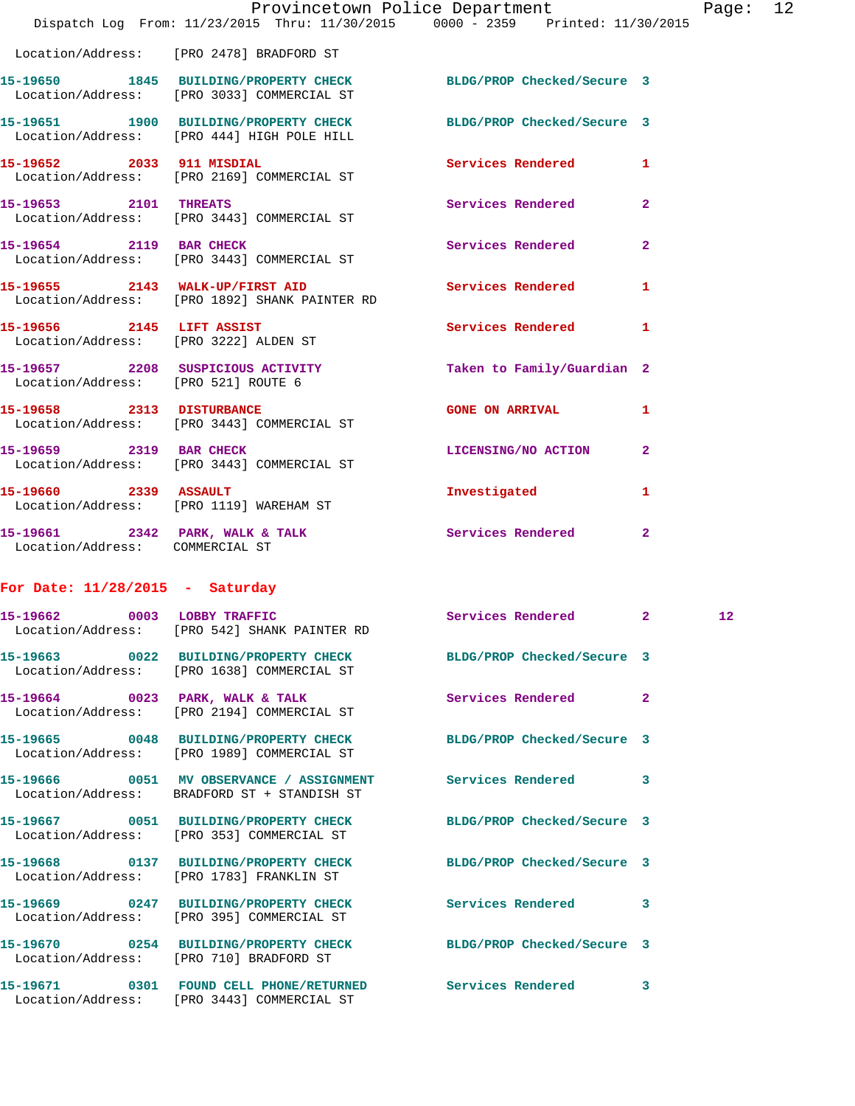|                                     |                                                                                                                | Provincetown Police Department |              | Page: 12        |  |
|-------------------------------------|----------------------------------------------------------------------------------------------------------------|--------------------------------|--------------|-----------------|--|
|                                     | Dispatch Log From: 11/23/2015 Thru: 11/30/2015 0000 - 2359 Printed: 11/30/2015                                 |                                |              |                 |  |
|                                     | Location/Address: [PRO 2478] BRADFORD ST                                                                       |                                |              |                 |  |
|                                     | 15-19650 1845 BUILDING/PROPERTY CHECK BLDG/PROP Checked/Secure 3<br>Location/Address: [PRO 3033] COMMERCIAL ST |                                |              |                 |  |
|                                     | 15-19651 1900 BUILDING/PROPERTY CHECK BLDG/PROP Checked/Secure 3<br>Location/Address: [PRO 444] HIGH POLE HILL |                                |              |                 |  |
| 15-19652 2033 911 MISDIAL           | Location/Address: [PRO 2169] COMMERCIAL ST                                                                     | Services Rendered 1            |              |                 |  |
| 15-19653 2101 THREATS               | Location/Address: [PRO 3443] COMMERCIAL ST                                                                     | Services Rendered              | $\mathbf{2}$ |                 |  |
| 15-19654 2119 BAR CHECK             | Location/Address: [PRO 3443] COMMERCIAL ST                                                                     | Services Rendered 2            |              |                 |  |
|                                     | 15-19655 2143 WALK-UP/FIRST AID<br>Location/Address: [PRO 1892] SHANK PAINTER RD                               | <b>Services Rendered</b>       | $\mathbf{1}$ |                 |  |
|                                     | 15-19656 2145 LIFT ASSIST<br>Location/Address: [PRO 3222] ALDEN ST                                             | Services Rendered              | $\mathbf{1}$ |                 |  |
| Location/Address: [PRO 521] ROUTE 6 | 15-19657 2208 SUSPICIOUS ACTIVITY                                                                              | Taken to Family/Guardian 2     |              |                 |  |
|                                     | 15-19658 2313 DISTURBANCE<br>Location/Address: [PRO 3443] COMMERCIAL ST                                        | <b>GONE ON ARRIVAL</b>         | $\mathbf{1}$ |                 |  |
| 15-19659 2319 BAR CHECK             | Location/Address: [PRO 3443] COMMERCIAL ST                                                                     | LICENSING/NO ACTION 2          |              |                 |  |
| 15-19660 2339 ASSAULT               | Location/Address: [PRO 1119] WAREHAM ST                                                                        | Investigated                   | $\mathbf{1}$ |                 |  |
| Location/Address: COMMERCIAL ST     | 15-19661 2342 PARK, WALK & TALK 3 Services Rendered 2                                                          |                                |              |                 |  |
| For Date: $11/28/2015$ - Saturday   |                                                                                                                |                                |              |                 |  |
| 15-19662 0003 LOBBY TRAFFIC         | Location/Address: [PRO 542] SHANK PAINTER RD                                                                   | Services Rendered 2            |              | 12 <sup>°</sup> |  |
|                                     | 15-19663 0022 BUILDING/PROPERTY CHECK BLDG/PROP Checked/Secure 3<br>Location/Address: [PRO 1638] COMMERCIAL ST |                                |              |                 |  |
|                                     | 15-19664 0023 PARK, WALK & TALK<br>Location/Address: [PRO 2194] COMMERCIAL ST                                  | Services Rendered 2            |              |                 |  |
|                                     | 15-19665 0048 BUILDING/PROPERTY CHECK BLDG/PROP Checked/Secure 3<br>Location/Address: [PRO 1989] COMMERCIAL ST |                                |              |                 |  |
|                                     | 15-19666 0051 MV OBSERVANCE / ASSIGNMENT Services Rendered 3<br>Location/Address: BRADFORD ST + STANDISH ST    |                                |              |                 |  |
|                                     | 15-19667 0051 BUILDING/PROPERTY CHECK BLDG/PROP Checked/Secure 3<br>Location/Address: [PRO 353] COMMERCIAL ST  |                                |              |                 |  |
|                                     | 15-19668 0137 BUILDING/PROPERTY CHECK BLDG/PROP Checked/Secure 3<br>Location/Address: [PRO 1783] FRANKLIN ST   |                                |              |                 |  |
|                                     | 15-19669 0247 BUILDING/PROPERTY CHECK<br>Location/Address: [PRO 395] COMMERCIAL ST                             | Services Rendered 3            |              |                 |  |
|                                     | 15-19670 0254 BUILDING/PROPERTY CHECK BLDG/PROP Checked/Secure 3                                               |                                |              |                 |  |

Location/Address: [PRO 3443] COMMERCIAL ST

**15-19671 0301 FOUND CELL PHONE/RETURNED Services Rendered 3**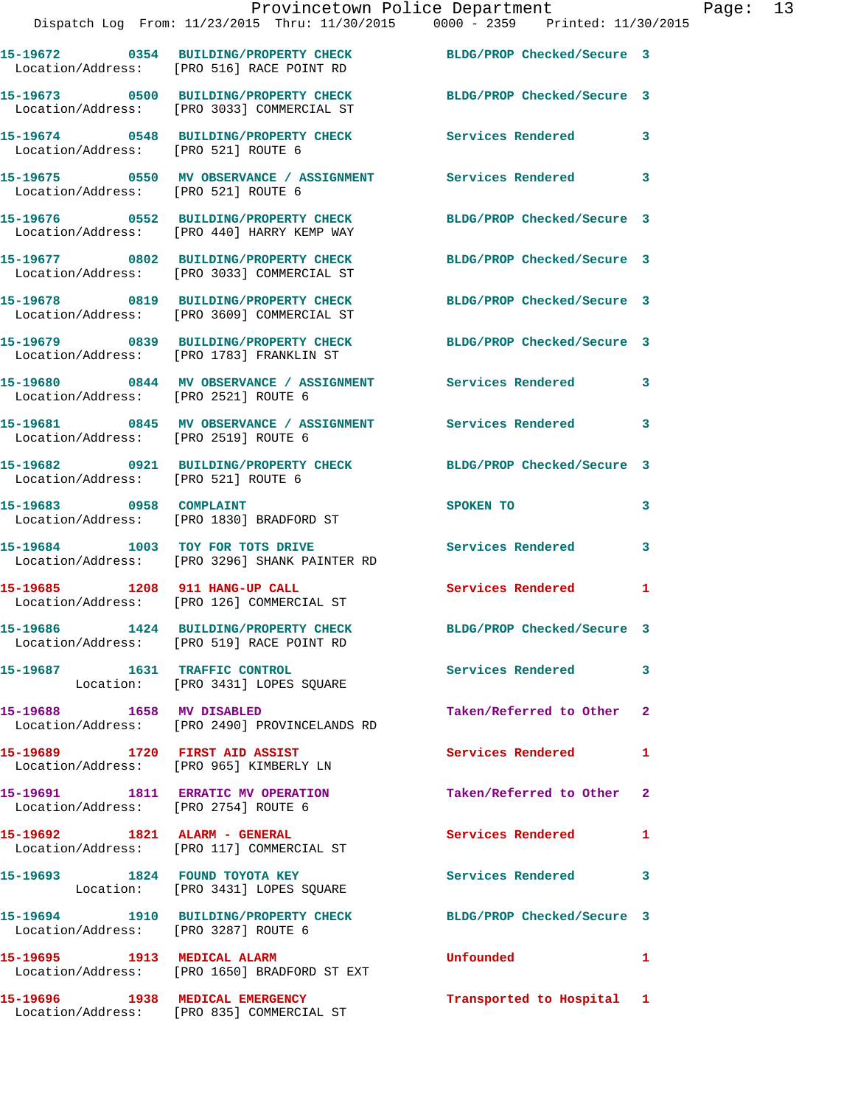|                                      | Provincetown Police Department<br>Dispatch Log From: 11/23/2015 Thru: 11/30/2015 0000 - 2359 Printed: 11/30/2015 |                                                                                                                                                                                                                               | Page: 13     |
|--------------------------------------|------------------------------------------------------------------------------------------------------------------|-------------------------------------------------------------------------------------------------------------------------------------------------------------------------------------------------------------------------------|--------------|
|                                      | 15-19672 0354 BUILDING/PROPERTY CHECK BLDG/PROP Checked/Secure 3<br>Location/Address: [PRO 516] RACE POINT RD    |                                                                                                                                                                                                                               |              |
|                                      | 15-19673 0500 BUILDING/PROPERTY CHECK BLDG/PROP Checked/Secure 3<br>Location/Address: [PRO 3033] COMMERCIAL ST   |                                                                                                                                                                                                                               |              |
|                                      |                                                                                                                  |                                                                                                                                                                                                                               |              |
|                                      |                                                                                                                  |                                                                                                                                                                                                                               |              |
|                                      | 15-19676 0552 BUILDING/PROPERTY CHECK BLDG/PROP Checked/Secure 3<br>Location/Address: [PRO 440] HARRY KEMP WAY   |                                                                                                                                                                                                                               |              |
|                                      | 15-19677 0802 BUILDING/PROPERTY CHECK BLDG/PROP Checked/Secure 3<br>Location/Address: [PRO 3033] COMMERCIAL ST   |                                                                                                                                                                                                                               |              |
|                                      | 15-19678 0819 BUILDING/PROPERTY CHECK BLDG/PROP Checked/Secure 3<br>Location/Address: [PRO 3609] COMMERCIAL ST   |                                                                                                                                                                                                                               |              |
|                                      | 15-19679 0839 BUILDING/PROPERTY CHECK BLDG/PROP Checked/Secure 3<br>Location/Address: [PRO 1783] FRANKLIN ST     |                                                                                                                                                                                                                               |              |
| Location/Address: [PRO 2521] ROUTE 6 | 15-19680 0844 MV OBSERVANCE / ASSIGNMENT Services Rendered 3                                                     |                                                                                                                                                                                                                               |              |
| Location/Address: [PRO 2519] ROUTE 6 | 15-19681 0845 MV OBSERVANCE / ASSIGNMENT Services Rendered 3                                                     |                                                                                                                                                                                                                               |              |
| Location/Address: [PRO 521] ROUTE 6  | 15-19682 0921 BUILDING/PROPERTY CHECK BLDG/PROP Checked/Secure 3                                                 |                                                                                                                                                                                                                               |              |
| 15-19683 0958 COMPLAINT              | Location/Address: [PRO 1830] BRADFORD ST                                                                         | SPOKEN TO AND TO A REAL PROPERTY OF THE STATE OF THE STATE OF THE STATE OF THE STATE OF THE STATE OF THE STATE OF THE STATE OF THE STATE OF THE STATE OF THE STATE OF THE STATE OF THE STATE OF THE STATE OF THE STATE OF THE | 3            |
|                                      | 15-19684 1003 TOY FOR TOTS DRIVE<br>Location/Address: [PRO 3296] SHANK PAINTER RD                                | Services Rendered 3                                                                                                                                                                                                           |              |
| 15-19685 1208 911 HANG-UP CALL       | Location/Address: [PRO 126] COMMERCIAL ST                                                                        | Services Rendered                                                                                                                                                                                                             | $\mathbf{1}$ |
|                                      | 15-19686 1424 BUILDING/PROPERTY CHECK<br>Location/Address: [PRO 519] RACE POINT RD                               | BLDG/PROP Checked/Secure 3                                                                                                                                                                                                    |              |
|                                      | 15-19687 1631 TRAFFIC CONTROL<br>Location: [PRO 3431] LOPES SQUARE                                               | Services Rendered 3                                                                                                                                                                                                           |              |
|                                      | 15-19688 1658 MV DISABLED<br>Location/Address: [PRO 2490] PROVINCELANDS RD                                       | Taken/Referred to Other 2                                                                                                                                                                                                     |              |
|                                      | 15-19689 1720 FIRST AID ASSIST<br>Location/Address: [PRO 965] KIMBERLY LN                                        | Services Rendered 1                                                                                                                                                                                                           |              |
| Location/Address: [PRO 2754] ROUTE 6 | 15-19691 1811 ERRATIC MV OPERATION                                                                               | Taken/Referred to Other 2                                                                                                                                                                                                     |              |
|                                      | 15-19692 1821 ALARM - GENERAL<br>Location/Address: [PRO 117] COMMERCIAL ST                                       | Services Rendered 1                                                                                                                                                                                                           |              |
|                                      | 15-19693 1824 FOUND TOYOTA KEY<br>Location: [PRO 3431] LOPES SQUARE                                              | Services Rendered                                                                                                                                                                                                             | 3            |
| Location/Address: [PRO 3287] ROUTE 6 | 15-19694 1910 BUILDING/PROPERTY CHECK BLDG/PROP Checked/Secure 3                                                 |                                                                                                                                                                                                                               |              |
|                                      | 15-19695 1913 MEDICAL ALARM<br>Location/Address: [PRO 1650] BRADFORD ST EXT                                      | Unfounded                                                                                                                                                                                                                     | 1            |
|                                      |                                                                                                                  |                                                                                                                                                                                                                               |              |

**15-19696 1938 MEDICAL EMERGENCY Transported to Hospital 1** 

Location/Address: [PRO 835] COMMERCIAL ST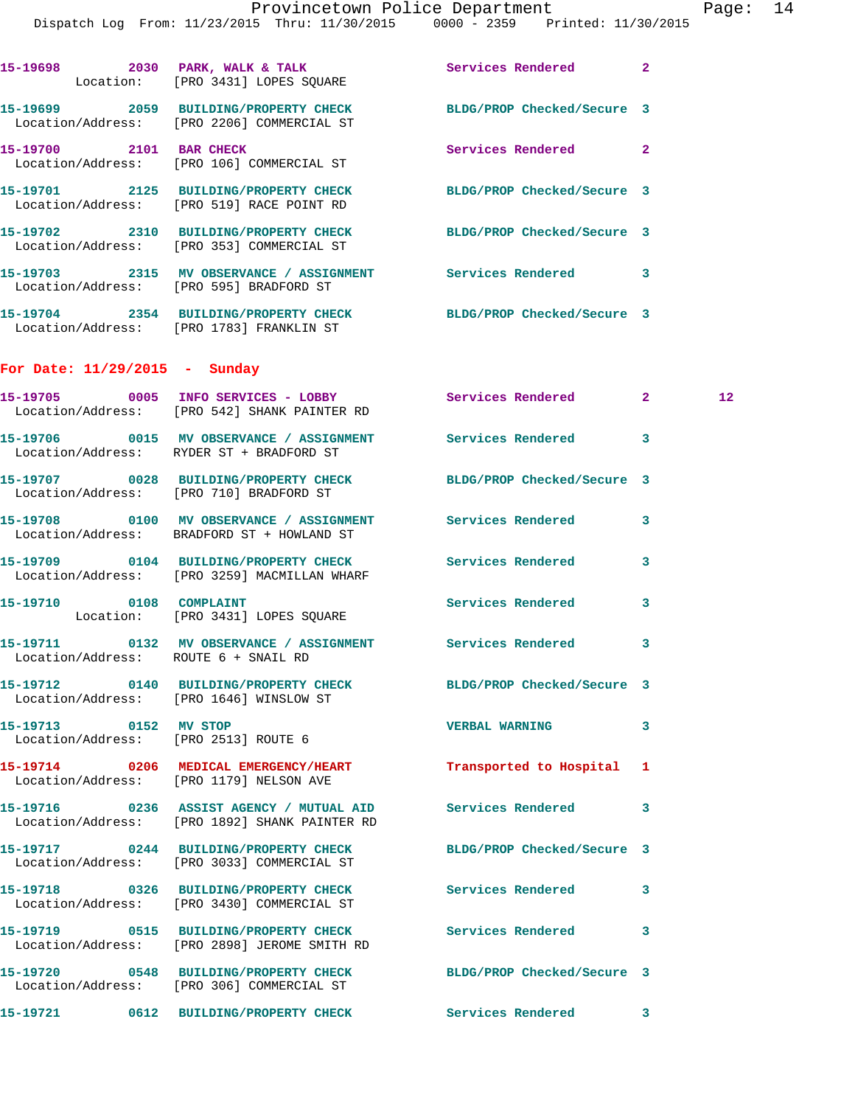|                                      | Dispatch Log From: 11/23/2015 Thru: 11/30/2015 0000 - 2359 Printed: 11/30/2015                                 | Provincetown Police Department |              | Page: 14          |  |
|--------------------------------------|----------------------------------------------------------------------------------------------------------------|--------------------------------|--------------|-------------------|--|
|                                      | 15-19698 2030 PARK, WALK & TALK 2001 Services Rendered Location: [PRO 3431] LOPES SQUARE                       |                                | $\mathbf{2}$ |                   |  |
|                                      | 15-19699 2059 BUILDING/PROPERTY CHECK BLDG/PROP Checked/Secure 3<br>Location/Address: [PRO 2206] COMMERCIAL ST |                                |              |                   |  |
| 15-19700 2101 BAR CHECK              | Location/Address: [PRO 106] COMMERCIAL ST                                                                      | Services Rendered              | $\mathbf{2}$ |                   |  |
|                                      | 15-19701 2125 BUILDING/PROPERTY CHECK BLDG/PROP Checked/Secure 3<br>Location/Address: [PRO 519] RACE POINT RD  |                                |              |                   |  |
|                                      | 15-19702 2310 BUILDING/PROPERTY CHECK BLDG/PROP Checked/Secure 3<br>Location/Address: [PRO 353] COMMERCIAL ST  |                                |              |                   |  |
|                                      | 15-19703 2315 MV OBSERVANCE / ASSIGNMENT Services Rendered 3<br>Location/Address: [PRO 595] BRADFORD ST        |                                |              |                   |  |
|                                      | 15-19704 2354 BUILDING/PROPERTY CHECK BLDG/PROP Checked/Secure 3<br>Location/Address: [PRO 1783] FRANKLIN ST   |                                |              |                   |  |
| For Date: $11/29/2015$ - Sunday      |                                                                                                                |                                |              |                   |  |
|                                      | 15-19705 0005 INFO SERVICES - LOBBY Services Rendered 2<br>Location/Address: [PRO 542] SHANK PAINTER RD        |                                |              | $12 \overline{ }$ |  |
|                                      | 15-19706 0015 MV OBSERVANCE / ASSIGNMENT Services Rendered<br>Location/Address: RYDER ST + BRADFORD ST         |                                | $\mathbf{3}$ |                   |  |
|                                      | 15-19707 0028 BUILDING/PROPERTY CHECK BLDG/PROP Checked/Secure 3<br>Location/Address: [PRO 710] BRADFORD ST    |                                |              |                   |  |
|                                      | 15-19708 0100 MV OBSERVANCE / ASSIGNMENT Services Rendered<br>Location/Address: BRADFORD ST + HOWLAND ST       |                                | $\mathbf{3}$ |                   |  |
|                                      | 15-19709 0104 BUILDING/PROPERTY CHECK Services Rendered<br>Location/Address: [PRO 3259] MACMILLAN WHARF        |                                | 3            |                   |  |
|                                      | 15-19710 0108 COMPLAINT<br>Location: [PRO 3431] LOPES SQUARE                                                   | Services Rendered              | 3            |                   |  |
| Location/Address: ROUTE 6 + SNAIL RD | 15-19711 0132 MV OBSERVANCE / ASSIGNMENT Services Rendered 3                                                   |                                |              |                   |  |
|                                      | 15-19712 0140 BUILDING/PROPERTY CHECK BLDG/PROP Checked/Secure 3<br>Location/Address: [PRO 1646] WINSLOW ST    |                                |              |                   |  |
| 15-19713 0152 MV STOP                | Location/Address: [PRO 2513] ROUTE 6                                                                           | VERBAL WARNING 3               |              |                   |  |
|                                      | 15-19714 0206 MEDICAL EMERGENCY/HEART Transported to Hospital 1<br>Location/Address: [PRO 1179] NELSON AVE     |                                |              |                   |  |
|                                      | 15-19716  0236  ASSIST AGENCY / MUTUAL AID<br>Location/Address: [PRO 1892] SHANK PAINTER RD                    | Services Rendered 3            |              |                   |  |
|                                      | 15-19717 0244 BUILDING/PROPERTY CHECK<br>Location/Address: [PRO 3033] COMMERCIAL ST                            | BLDG/PROP Checked/Secure 3     |              |                   |  |
|                                      | 15-19718 0326 BUILDING/PROPERTY CHECK<br>Location/Address: [PRO 3430] COMMERCIAL ST                            | Services Rendered 3            |              |                   |  |
|                                      | 15-19719 0515 BUILDING/PROPERTY CHECK<br>Location/Address: [PRO 2898] JEROME SMITH RD                          | Services Rendered              | 3            |                   |  |
|                                      | 15-19720 0548 BUILDING/PROPERTY CHECK BLDG/PROP Checked/Secure 3<br>Location/Address: [PRO 306] COMMERCIAL ST  |                                |              |                   |  |
|                                      | 15-19721 0612 BUILDING/PROPERTY CHECK Services Rendered 3                                                      |                                |              |                   |  |
|                                      |                                                                                                                |                                |              |                   |  |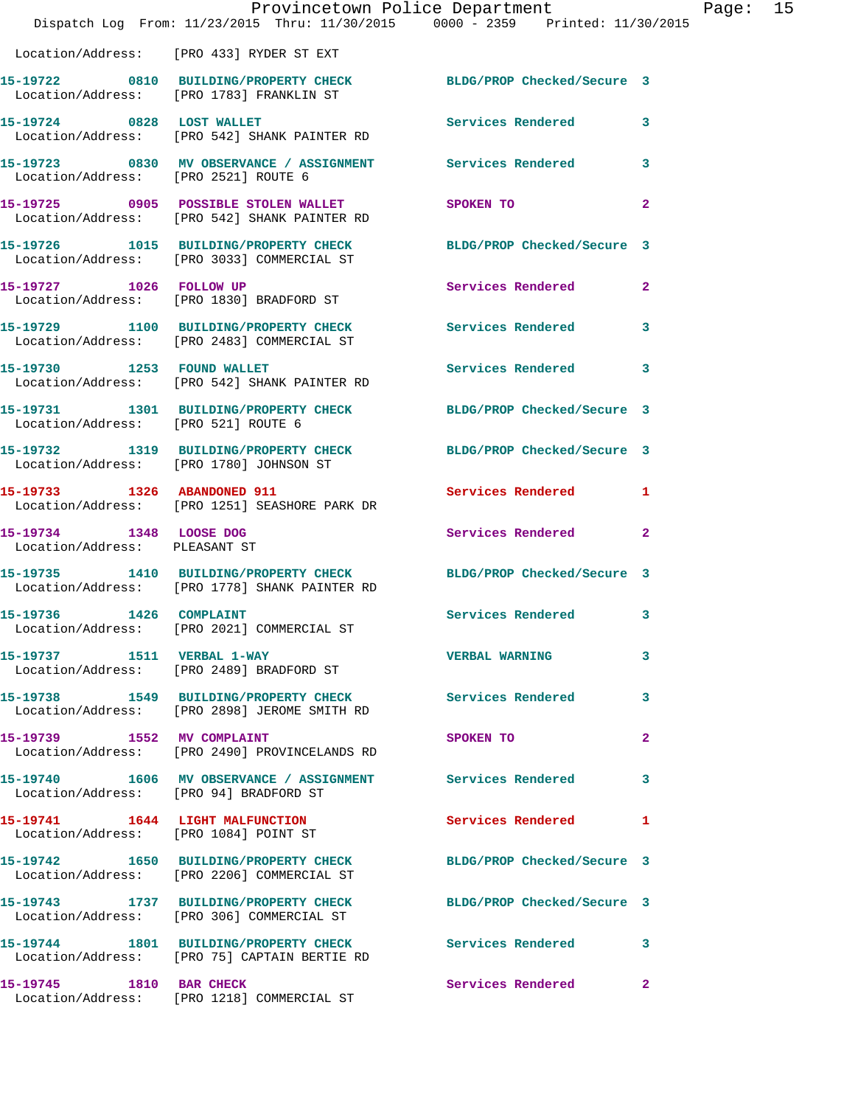|                                                          | Provincetown Police Department<br>Dispatch Log From: 11/23/2015 Thru: 11/30/2015 0000 - 2359 Printed: 11/30/2015 |                            |                |
|----------------------------------------------------------|------------------------------------------------------------------------------------------------------------------|----------------------------|----------------|
|                                                          | Location/Address: [PRO 433] RYDER ST EXT                                                                         |                            |                |
|                                                          | 15-19722 0810 BUILDING/PROPERTY CHECK BLDG/PROP Checked/Secure 3<br>Location/Address: [PRO 1783] FRANKLIN ST     |                            |                |
| 15-19724 0828 LOST WALLET                                | Location/Address: [PRO 542] SHANK PAINTER RD                                                                     | Services Rendered          | 3              |
|                                                          | 15-19723 0830 MV OBSERVANCE / ASSIGNMENT Services Rendered<br>Location/Address: [PRO 2521] ROUTE 6               |                            | 3              |
|                                                          | 15-19725 0905 POSSIBLE STOLEN WALLET<br>Location/Address: [PRO 542] SHANK PAINTER RD                             | SPOKEN TO                  | $\overline{a}$ |
|                                                          | 15-19726 1015 BUILDING/PROPERTY CHECK<br>Location/Address: [PRO 3033] COMMERCIAL ST                              | BLDG/PROP Checked/Secure 3 |                |
| 15-19727 1026 FOLLOW UP                                  | Location/Address: [PRO 1830] BRADFORD ST                                                                         | Services Rendered          | $\overline{a}$ |
|                                                          | 15-19729 1100 BUILDING/PROPERTY CHECK<br>Location/Address: [PRO 2483] COMMERCIAL ST                              | <b>Services Rendered</b>   | 3              |
|                                                          | 15-19730 1253 FOUND WALLET<br>Location/Address: [PRO 542] SHANK PAINTER RD                                       | Services Rendered          | 3              |
| Location/Address: [PRO 521] ROUTE 6                      | 15-19731 1301 BUILDING/PROPERTY CHECK BLDG/PROP Checked/Secure 3                                                 |                            |                |
| Location/Address: [PRO 1780] JOHNSON ST                  | 15-19732 1319 BUILDING/PROPERTY CHECK                                                                            | BLDG/PROP Checked/Secure 3 |                |
| 15-19733 1326 ABANDONED 911                              | Location/Address: [PRO 1251] SEASHORE PARK DR                                                                    | Services Rendered          | 1              |
| 15-19734 1348 LOOSE DOG<br>Location/Address: PLEASANT ST |                                                                                                                  | Services Rendered          | $\overline{2}$ |
|                                                          | 15-19735 1410 BUILDING/PROPERTY CHECK<br>Location/Address: [PRO 1778] SHANK PAINTER RD                           | BLDG/PROP Checked/Secure 3 |                |
| 15-19736 1426 COMPLAINT                                  | Location/Address: [PRO 2021] COMMERCIAL ST                                                                       | <b>Services Rendered</b>   | 3              |
| 15-19737 1511 VERBAL 1-WAY                               | Location/Address: [PRO 2489] BRADFORD ST                                                                         | <b>VERBAL WARNING</b>      | 3              |
|                                                          | 15-19738 1549 BUILDING/PROPERTY CHECK<br>Location/Address: [PRO 2898] JEROME SMITH RD                            | <b>Services Rendered</b>   | 3              |
| 15-19739 1552 MV COMPLAINT                               | Location/Address: [PRO 2490] PROVINCELANDS RD                                                                    | SPOKEN TO                  | $\overline{a}$ |
|                                                          | 15-19740 1606 MV OBSERVANCE / ASSIGNMENT Services Rendered<br>Location/Address: [PRO 94] BRADFORD ST             |                            | 3              |
| 15-19741 1644 LIGHT MALFUNCTION                          | Location/Address: [PRO 1084] POINT ST                                                                            | Services Rendered          | 1              |
|                                                          | 15-19742 1650 BUILDING/PROPERTY CHECK<br>Location/Address: [PRO 2206] COMMERCIAL ST                              | BLDG/PROP Checked/Secure 3 |                |
|                                                          | 15-19743 1737 BUILDING/PROPERTY CHECK<br>Location/Address: [PRO 306] COMMERCIAL ST                               | BLDG/PROP Checked/Secure 3 |                |
|                                                          | 15-19744 1801 BUILDING/PROPERTY CHECK Services Rendered<br>Location/Address: [PRO 75] CAPTAIN BERTIE RD          |                            | 3              |
| 15-19745 1810 BAR CHECK                                  | Location/Address: [PRO 1218] COMMERCIAL ST                                                                       | Services Rendered          | $\overline{2}$ |

Page: 15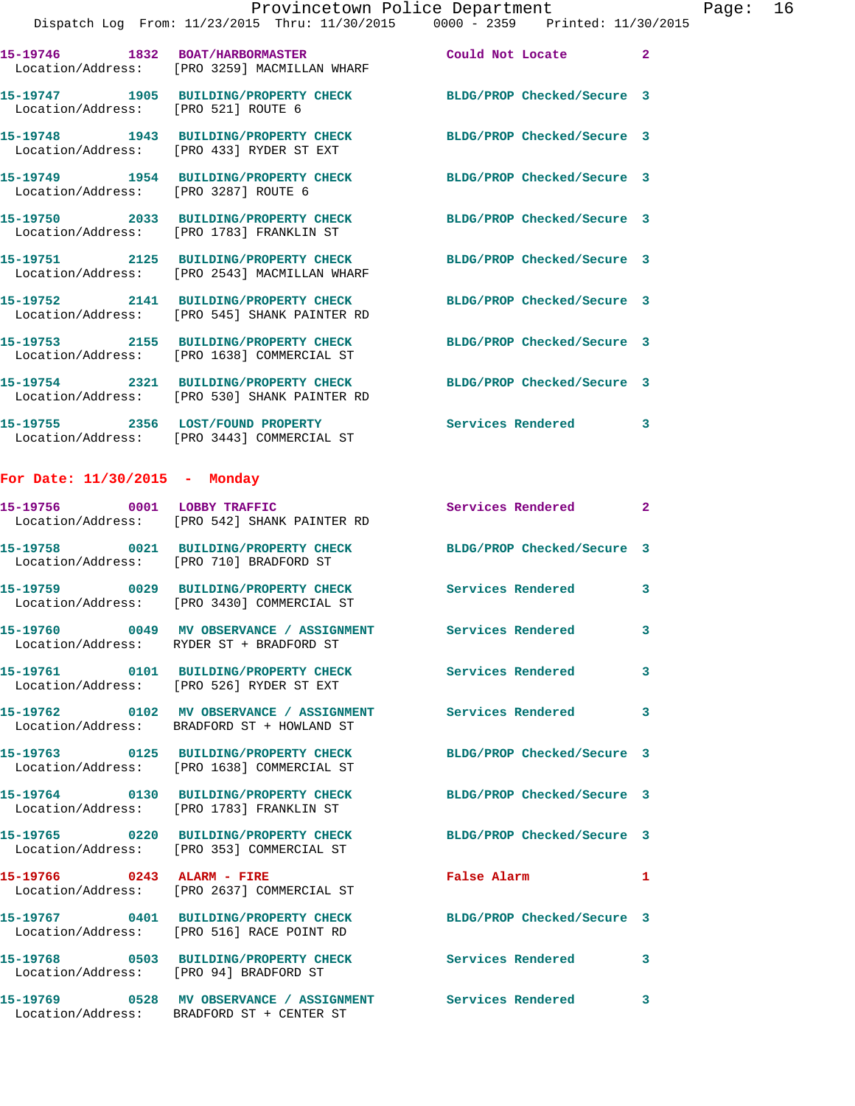|                                      | Provincetown Police Department                                                                                   |                            |                |
|--------------------------------------|------------------------------------------------------------------------------------------------------------------|----------------------------|----------------|
|                                      | Dispatch Log From: 11/23/2015 Thru: 11/30/2015 0000 - 2359 Printed: 11/30/2015                                   |                            |                |
|                                      | 15-19746 1832 BOAT/HARBORMASTER Could Not Locate<br>Location/Address: [PRO 3259] MACMILLAN WHARF                 |                            | $\overline{2}$ |
| Location/Address: [PRO 521] ROUTE 6  | 15-19747 1905 BUILDING/PROPERTY CHECK                                                                            | BLDG/PROP Checked/Secure 3 |                |
|                                      | 15-19748 1943 BUILDING/PROPERTY CHECK BLDG/PROP Checked/Secure 3<br>Location/Address: [PRO 433] RYDER ST EXT     |                            |                |
| Location/Address: [PRO 3287] ROUTE 6 | 15-19749 1954 BUILDING/PROPERTY CHECK BLDG/PROP Checked/Secure 3                                                 |                            |                |
|                                      | 15-19750 2033 BUILDING/PROPERTY CHECK BLDG/PROP Checked/Secure 3<br>Location/Address: [PRO 1783] FRANKLIN ST     |                            |                |
|                                      | 15-19751 2125 BUILDING/PROPERTY CHECK BLDG/PROP Checked/Secure 3<br>Location/Address: [PRO 2543] MACMILLAN WHARF |                            |                |
|                                      | 15-19752 2141 BUILDING/PROPERTY CHECK BLDG/PROP Checked/Secure 3<br>Location/Address: [PRO 545] SHANK PAINTER RD |                            |                |
|                                      | 15-19753 2155 BUILDING/PROPERTY CHECK<br>Location/Address: [PRO 1638] COMMERCIAL ST                              | BLDG/PROP Checked/Secure 3 |                |
|                                      | 15-19754 2321 BUILDING/PROPERTY CHECK BLDG/PROP Checked/Secure 3<br>Location/Address: [PRO 530] SHANK PAINTER RD |                            |                |
|                                      | 15-19755 2356 LOST/FOUND PROPERTY Services Rendered<br>Location/Address: [PRO 3443] COMMERCIAL ST                |                            | 3              |

Page: 16

## **For Date: 11/30/2015 - Monday**

Location/Address: BRADFORD ST + CENTER ST

| 15-19756 0001 LOBBY TRAFFIC            | Location/Address: [PRO 542] SHANK PAINTER RD                                           | <b>Services Rendered</b>   | $\overline{2}$ |
|----------------------------------------|----------------------------------------------------------------------------------------|----------------------------|----------------|
| Location/Address:                      | [PRO 710] BRADFORD ST                                                                  | BLDG/PROP Checked/Secure 3 |                |
|                                        | Location/Address: [PRO 3430] COMMERCIAL ST                                             | <b>Services Rendered</b>   | $\mathbf{3}$   |
|                                        | Location/Address: RYDER ST + BRADFORD ST                                               | <b>Services Rendered</b>   | $\mathbf{3}$   |
|                                        | 15-19761  0101 BUILDING/PROPERTY CHECK<br>Location/Address: [PRO 526] RYDER ST EXT     | <b>Services Rendered</b>   | $\mathbf{3}$   |
|                                        | 15-19762 0102 MV OBSERVANCE / ASSIGNMENT<br>Location/Address: BRADFORD ST + HOWLAND ST | Services Rendered          | $\mathbf{3}$   |
|                                        | 15-19763 0125 BUILDING/PROPERTY CHECK<br>Location/Address: [PRO 1638] COMMERCIAL ST    | BLDG/PROP Checked/Secure 3 |                |
|                                        | 15-19764 0130 BUILDING/PROPERTY CHECK<br>Location/Address: [PRO 1783] FRANKLIN ST      | BLDG/PROP Checked/Secure 3 |                |
|                                        | 15-19765 0220 BUILDING/PROPERTY CHECK<br>Location/Address: [PRO 353] COMMERCIAL ST     | BLDG/PROP Checked/Secure 3 |                |
| 15-19766 0243 ALARM - FIRE             | Location/Address: [PRO 2637] COMMERCIAL ST                                             | <b>False Alarm</b>         | $\mathbf{1}$   |
|                                        | 15-19767 0401 BUILDING/PROPERTY CHECK<br>Location/Address: [PRO 516] RACE POINT RD     | BLDG/PROP Checked/Secure 3 |                |
| Location/Address: [PRO 94] BRADFORD ST | 15-19768 0503 BUILDING/PROPERTY CHECK                                                  | Services Rendered          | 3              |
|                                        | 15-19769 0528 MV OBSERVANCE / ASSIGNMENT Services Rendered                             |                            | 3              |